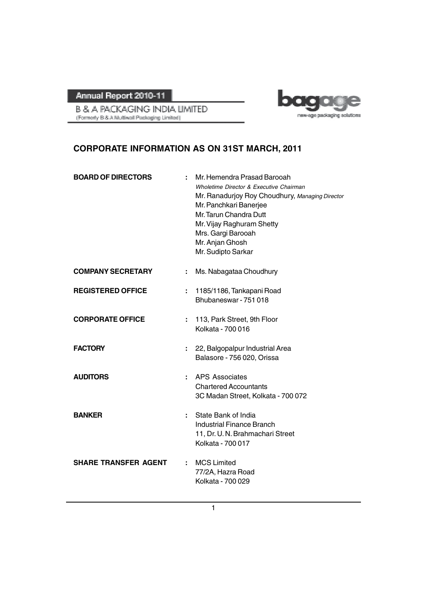

B & A PACKAGING INDIA LIMITED (Formerly B & A Multiwall Packaging Limited)

# **CORPORATE INFORMATION AS ON 31ST MARCH, 2011**

| <b>BOARD OF DIRECTORS</b>   |    | Mr. Hemendra Prasad Barooah<br>Wholetime Director & Executive Chairman<br>Mr. Ranadurjoy Roy Choudhury, Managing Director<br>Mr. Panchkari Banerjee<br>Mr. Tarun Chandra Dutt<br>Mr. Vijay Raghuram Shetty<br>Mrs. Gargi Barooah<br>Mr. Anjan Ghosh<br>Mr. Sudipto Sarkar |
|-----------------------------|----|---------------------------------------------------------------------------------------------------------------------------------------------------------------------------------------------------------------------------------------------------------------------------|
| <b>COMPANY SECRETARY</b>    | ÷  | Ms. Nabagataa Choudhury                                                                                                                                                                                                                                                   |
| <b>REGISTERED OFFICE</b>    | ÷  | 1185/1186, Tankapani Road<br>Bhubaneswar - 751 018                                                                                                                                                                                                                        |
| <b>CORPORATE OFFICE</b>     | ÷  | 113, Park Street, 9th Floor<br>Kolkata - 700 016                                                                                                                                                                                                                          |
| <b>FACTORY</b>              | ÷  | 22, Balgopalpur Industrial Area<br>Balasore - 756 020, Orissa                                                                                                                                                                                                             |
| <b>AUDITORS</b>             |    | <b>APS Associates</b><br><b>Chartered Accountants</b><br>3C Madan Street, Kolkata - 700 072                                                                                                                                                                               |
| <b>BANKER</b>               |    | State Bank of India<br><b>Industrial Finance Branch</b><br>11, Dr. U. N. Brahmachari Street<br>Kolkata - 700 017                                                                                                                                                          |
| <b>SHARE TRANSFER AGENT</b> | ÷. | <b>MCS Limited</b><br>77/2A, Hazra Road<br>Kolkata - 700 029                                                                                                                                                                                                              |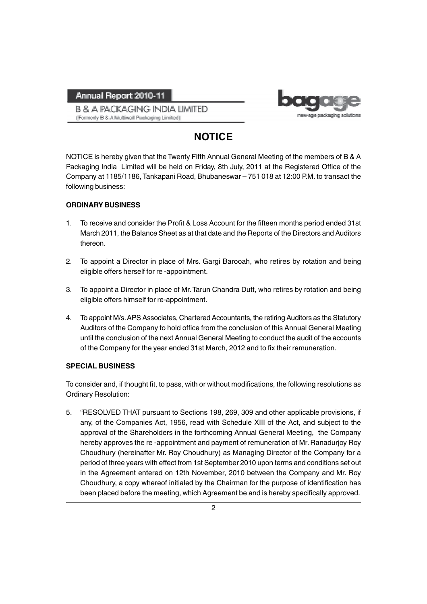**B & A PACKAGING INDIA LIMITED** (Formerly B & A.Mutliwall Packaging Limited)



# **NOTICE**

NOTICE is hereby given that the Twenty Fifth Annual General Meeting of the members of B & A Packaging India Limited will be held on Friday, 8th July, 2011 at the Registered Office of the Company at 1185/1186, Tankapani Road, Bhubaneswar – 751 018 at 12:00 P.M. to transact the following business:

### **ORDINARY BUSINESS**

- 1. To receive and consider the Profit & Loss Account for the fifteen months period ended 31st March 2011, the Balance Sheet as at that date and the Reports of the Directors and Auditors thereon.
- 2. To appoint a Director in place of Mrs. Gargi Barooah, who retires by rotation and being eligible offers herself for re -appointment.
- 3. To appoint a Director in place of Mr. Tarun Chandra Dutt, who retires by rotation and being eligible offers himself for re-appointment.
- 4. To appoint M/s. APS Associates, Chartered Accountants, the retiring Auditors as the Statutory Auditors of the Company to hold office from the conclusion of this Annual General Meeting until the conclusion of the next Annual General Meeting to conduct the audit of the accounts of the Company for the year ended 31st March, 2012 and to fix their remuneration.

### **SPECIAL BUSINESS**

To consider and, if thought fit, to pass, with or without modifications, the following resolutions as Ordinary Resolution:

5. "RESOLVED THAT pursuant to Sections 198, 269, 309 and other applicable provisions, if any, of the Companies Act, 1956, read with Schedule XIII of the Act, and subject to the approval of the Shareholders in the forthcoming Annual General Meeting, the Company hereby approves the re -appointment and payment of remuneration of Mr. Ranadurjoy Roy Choudhury (hereinafter Mr. Roy Choudhury) as Managing Director of the Company for a period of three years with effect from 1st September 2010 upon terms and conditions set out in the Agreement entered on 12th November, 2010 between the Company and Mr. Roy Choudhury, a copy whereof initialed by the Chairman for the purpose of identification has been placed before the meeting, which Agreement be and is hereby specifically approved.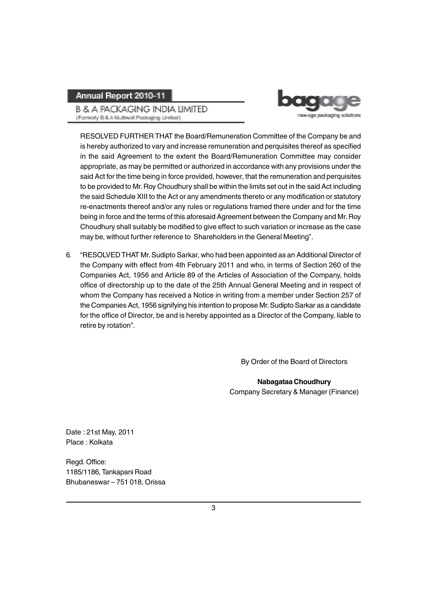**B & A PACKAGING INDIA LIMITED** (Formerly B & A Multiwall Packaging Limited)



RESOLVED FURTHER THAT the Board/Remuneration Committee of the Company be and is hereby authorized to vary and increase remuneration and perquisites thereof as specified in the said Agreement to the extent the Board/Remuneration Committee may consider appropriate, as may be permitted or authorized in accordance with any provisions under the said Act for the time being in force provided, however, that the remuneration and perquisites to be provided to Mr. Roy Choudhury shall be within the limits set out in the said Act including the said Schedule XIII to the Act or any amendments thereto or any modification or statutory re-enactments thereof and/or any rules or regulations framed there under and for the time being in force and the terms of this aforesaid Agreement between the Company and Mr. Roy Choudhury shall suitably be modified to give effect to such variation or increase as the case may be, without further reference to Shareholders in the General Meeting".

6. "RESOLVED THAT Mr. Sudipto Sarkar, who had been appointed as an Additional Director of the Company with effect from 4th February 2011 and who, in terms of Section 260 of the Companies Act, 1956 and Article 89 of the Articles of Association of the Company, holds office of directorship up to the date of the 25th Annual General Meeting and in respect of whom the Company has received a Notice in writing from a member under Section 257 of the Companies Act, 1956 signifying his intention to propose Mr. Sudipto Sarkar as a candidate for the office of Director, be and is hereby appointed as a Director of the Company, liable to retire by rotation".

By Order of the Board of Directors

**Nabagataa Choudhury** Company Secretary & Manager (Finance)

Date : 21st May, 2011 Place : Kolkata

Regd. Office: 1185/1186, Tankapani Road Bhubaneswar – 751 018, Orissa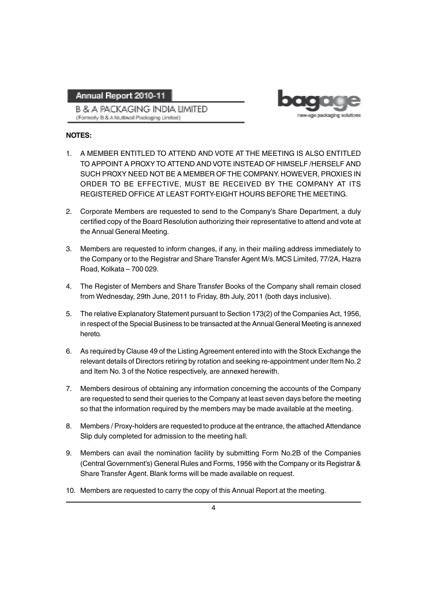**B & A PACKAGING INDIA LIMITED** (Formerly B & A Mutliwall Packaging Limited)



#### **NOTES:**

- 1. A MEMBER ENTITLED TO ATTEND AND VOTE AT THE MEETING IS ALSO ENTITLED TO APPOINT A PROXY TO ATTEND AND VOTE INSTEAD OF HIMSELF /HERSELF AND SUCH PROXY NEED NOT BE A MEMBER OF THE COMPANY. HOWEVER, PROXIES IN ORDER TO BE EFFECTIVE, MUST BE RECEIVED BY THE COMPANY AT ITS REGISTERED OFFICE AT LEAST FORTY-EIGHT HOURS BEFORE THE MEETING.
- 2. Corporate Members are requested to send to the Company's Share Department, a duly certified copy of the Board Resolution authorizing their representative to attend and vote at the Annual General Meeting.
- 3. Members are requested to inform changes, if any, in their mailing address immediately to the Company or to the Registrar and Share Transfer Agent M/s. MCS Limited, 77/2A, Hazra Road, Kolkata – 700 029.
- 4. The Register of Members and Share Transfer Books of the Company shall remain closed from Wednesday, 29th June, 2011 to Friday, 8th July, 2011 (both days inclusive).
- 5. The relative Explanatory Statement pursuant to Section 173(2) of the Companies Act, 1956, in respect of the Special Business to be transacted at the Annual General Meeting is annexed hereto.
- 6. As required by Clause 49 of the Listing Agreement entered into with the Stock Exchange the relevant details of Directors retiring by rotation and seeking re-appointment under Item No. 2 and Item No. 3 of the Notice respectively, are annexed herewith.
- 7. Members desirous of obtaining any information concerning the accounts of the Company are requested to send their queries to the Company at least seven days before the meeting so that the information required by the members may be made available at the meeting.
- 8. Members / Proxy-holders are requested to produce at the entrance, the attached Attendance Slip duly completed for admission to the meeting hall.
- 9. Members can avail the nomination facility by submitting Form No.2B of the Companies (Central Government's) General Rules and Forms, 1956 with the Company or its Registrar & Share Transfer Agent. Blank forms will be made available on request.
- 10. Members are requested to carry the copy of this Annual Report at the meeting.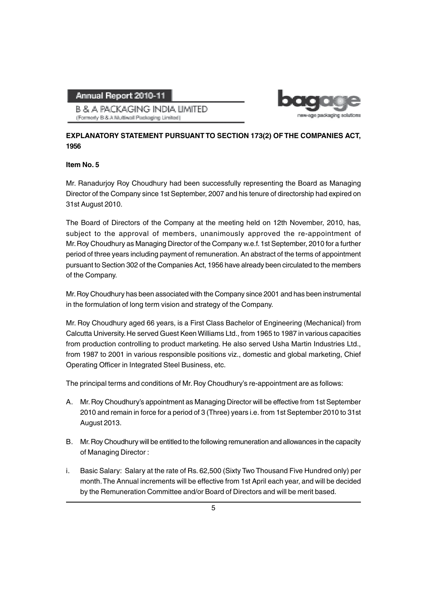

(Formerly B & A Multiwall Packaging Limited)

**B & A PACKAGING INDIA LIMITED** 

### **EXPLANATORY STATEMENT PURSUANT TO SECTION 173(2) OF THE COMPANIES ACT, 1956**

### **Item No. 5**

Mr. Ranadurjoy Roy Choudhury had been successfully representing the Board as Managing Director of the Company since 1st September, 2007 and his tenure of directorship had expired on 31st August 2010.

The Board of Directors of the Company at the meeting held on 12th November, 2010, has, subject to the approval of members, unanimously approved the re-appointment of Mr. Roy Choudhury as Managing Director of the Company w.e.f. 1st September, 2010 for a further period of three years including payment of remuneration. An abstract of the terms of appointment pursuant to Section 302 of the Companies Act, 1956 have already been circulated to the members of the Company.

Mr. Roy Choudhury has been associated with the Company since 2001 and has been instrumental in the formulation of long term vision and strategy of the Company.

Mr. Roy Choudhury aged 66 years, is a First Class Bachelor of Engineering (Mechanical) from Calcutta University. He served Guest Keen Williams Ltd., from 1965 to 1987 in various capacities from production controlling to product marketing. He also served Usha Martin Industries Ltd., from 1987 to 2001 in various responsible positions viz., domestic and global marketing, Chief Operating Officer in Integrated Steel Business, etc.

The principal terms and conditions of Mr. Roy Choudhury's re-appointment are as follows:

- A. Mr. Roy Choudhury's appointment as Managing Director will be effective from 1st September 2010 and remain in force for a period of 3 (Three) years i.e. from 1st September 2010 to 31st August 2013.
- B. Mr. Roy Choudhury will be entitled to the following remuneration and allowances in the capacity of Managing Director :
- i. Basic Salary: Salary at the rate of Rs. 62,500 (Sixty Two Thousand Five Hundred only) per month. The Annual increments will be effective from 1st April each year, and will be decided by the Remuneration Committee and/or Board of Directors and will be merit based.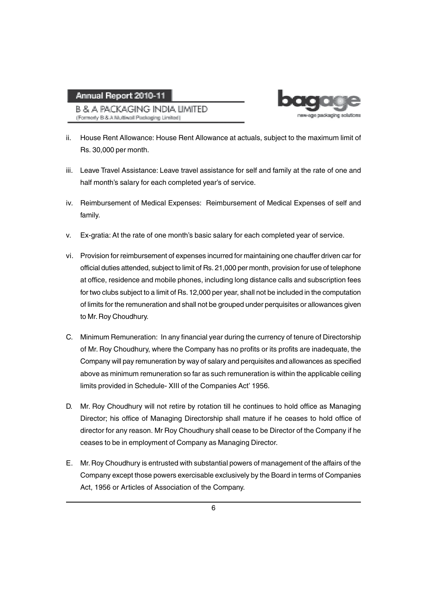**B & A PACKAGING INDIA LIMITED** (Formerly B & A Multiwall Packaging Limited)



- ii. House Rent Allowance: House Rent Allowance at actuals, subject to the maximum limit of Rs. 30,000 per month.
- iii. Leave Travel Assistance: Leave travel assistance for self and family at the rate of one and half month's salary for each completed year's of service.
- iv. Reimbursement of Medical Expenses: Reimbursement of Medical Expenses of self and family.
- v. Ex-gratia: At the rate of one month's basic salary for each completed year of service.
- vi. Provision for reimbursement of expenses incurred for maintaining one chauffer driven car for official duties attended, subject to limit of Rs. 21,000 per month, provision for use of telephone at office, residence and mobile phones, including long distance calls and subscription fees for two clubs subject to a limit of Rs. 12,000 per year, shall not be included in the computation of limits for the remuneration and shall not be grouped under perquisites or allowances given to Mr. Roy Choudhury.
- C. Minimum Remuneration: In any financial year during the currency of tenure of Directorship of Mr. Roy Choudhury, where the Company has no profits or its profits are inadequate, the Company will pay remuneration by way of salary and perquisites and allowances as specified above as minimum remuneration so far as such remuneration is within the applicable ceiling limits provided in Schedule- XIII of the Companies Act' 1956.
- D. Mr. Roy Choudhury will not retire by rotation till he continues to hold office as Managing Director; his office of Managing Directorship shall mature if he ceases to hold office of director for any reason. Mr Roy Choudhury shall cease to be Director of the Company if he ceases to be in employment of Company as Managing Director.
- E. Mr. Roy Choudhury is entrusted with substantial powers of management of the affairs of the Company except those powers exercisable exclusively by the Board in terms of Companies Act, 1956 or Articles of Association of the Company.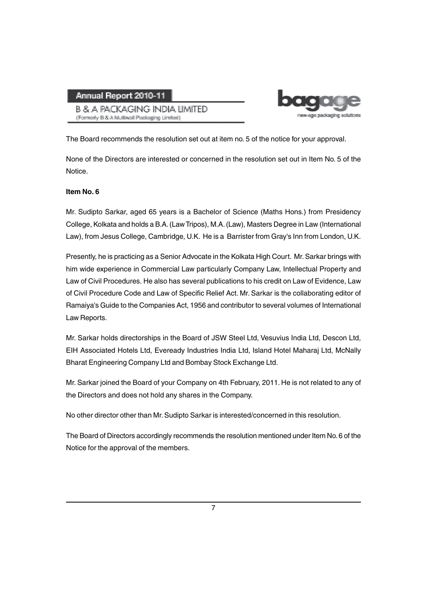**B & A PACKAGING INDIA LIMITED** (Formerly B & A Multiwall Packaging Limited)



The Board recommends the resolution set out at item no. 5 of the notice for your approval.

None of the Directors are interested or concerned in the resolution set out in Item No. 5 of the Notice.

#### **Item No. 6**

Mr. Sudipto Sarkar, aged 65 years is a Bachelor of Science (Maths Hons.) from Presidency College, Kolkata and holds a B.A. (Law Tripos), M.A. (Law), Masters Degree in Law (International Law), from Jesus College, Cambridge, U.K. He is a Barrister from Gray's Inn from London, U.K.

Presently, he is practicing as a Senior Advocate in the Kolkata High Court. Mr. Sarkar brings with him wide experience in Commercial Law particularly Company Law, Intellectual Property and Law of Civil Procedures. He also has several publications to his credit on Law of Evidence, Law of Civil Procedure Code and Law of Specific Relief Act. Mr. Sarkar is the collaborating editor of Ramaiya's Guide to the Companies Act, 1956 and contributor to several volumes of International Law Reports.

Mr. Sarkar holds directorships in the Board of JSW Steel Ltd, Vesuvius India Ltd, Descon Ltd, EIH Associated Hotels Ltd, Eveready Industries India Ltd, Island Hotel Maharaj Ltd, McNally Bharat Engineering Company Ltd and Bombay Stock Exchange Ltd.

Mr. Sarkar joined the Board of your Company on 4th February, 2011. He is not related to any of the Directors and does not hold any shares in the Company.

No other director other than Mr. Sudipto Sarkar is interested/concerned in this resolution.

The Board of Directors accordingly recommends the resolution mentioned under Item No. 6 of the Notice for the approval of the members.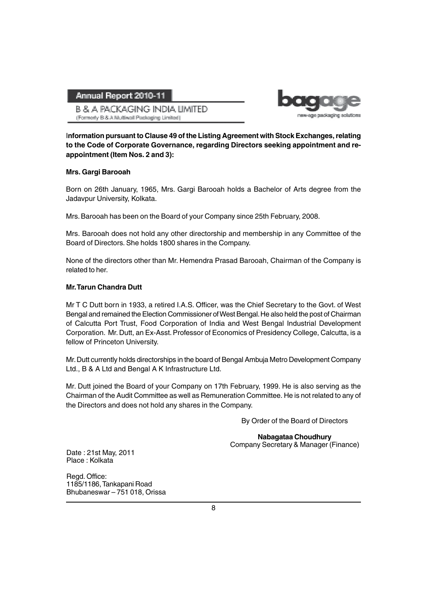

age packaging solutions

**B & A PACKAGING INDIA LIMITED** (Formerly B & A.Mutliwall Packaging Limited)

I**nformation pursuant to Clause 49 of the Listing Agreement with Stock Exchanges, relating to the Code of Corporate Governance, regarding Directors seeking appointment and reappointment (Item Nos. 2 and 3):**

#### **Mrs. Gargi Barooah**

Born on 26th January, 1965, Mrs. Gargi Barooah holds a Bachelor of Arts degree from the Jadavpur University, Kolkata.

Mrs. Barooah has been on the Board of your Company since 25th February, 2008.

Mrs. Barooah does not hold any other directorship and membership in any Committee of the Board of Directors. She holds 1800 shares in the Company.

None of the directors other than Mr. Hemendra Prasad Barooah, Chairman of the Company is related to her.

#### **Mr. Tarun Chandra Dutt**

Mr T C Dutt born in 1933, a retired I.A.S. Officer, was the Chief Secretary to the Govt. of West Bengal and remained the Election Commissioner of West Bengal. He also held the post of Chairman of Calcutta Port Trust, Food Corporation of India and West Bengal Industrial Development Corporation. Mr. Dutt, an Ex-Asst. Professor of Economics of Presidency College, Calcutta, is a fellow of Princeton University.

Mr. Dutt currently holds directorships in the board of Bengal Ambuja Metro Development Company Ltd., B & A Ltd and Bengal A K Infrastructure Ltd.

Mr. Dutt joined the Board of your Company on 17th February, 1999. He is also serving as the Chairman of the Audit Committee as well as Remuneration Committee. He is not related to any of the Directors and does not hold any shares in the Company.

By Order of the Board of Directors

**Nabagataa Choudhury** Company Secretary & Manager (Finance)

Date : 21st May, 2011 Place : Kolkata

Regd. Office: 1185/1186, Tankapani Road Bhubaneswar – 751 018, Orissa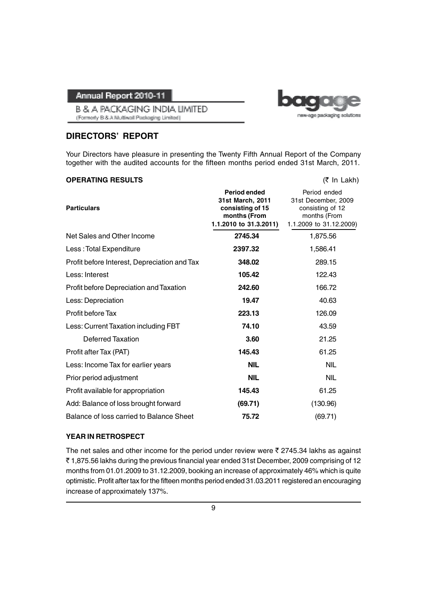**B & A PACKAGING INDIA LIMITED** (Formerly B & A Multiwall Packaging Limited)

### **DIRECTORS' REPORT**

Your Directors have pleasure in presenting the Twenty Fifth Annual Report of the Company together with the audited accounts for the fifteen months period ended 31st March, 2011.

#### **OPERATING RESULTS** (₹ In Lakh)

| <b>Particulars</b>                           | Period ended<br>31st March, 2011<br>consisting of 15<br>months (From<br>1.1.2010 to 31.3.2011) | Period ended<br>31st December, 2009<br>consisting of 12<br>months (From<br>1.1.2009 to 31.12.2009) |
|----------------------------------------------|------------------------------------------------------------------------------------------------|----------------------------------------------------------------------------------------------------|
| Net Sales and Other Income                   | 2745.34                                                                                        | 1,875.56                                                                                           |
| Less: Total Expenditure                      | 2397.32                                                                                        | 1,586.41                                                                                           |
| Profit before Interest, Depreciation and Tax | 348.02                                                                                         | 289.15                                                                                             |
| Less: Interest                               | 105.42                                                                                         | 122.43                                                                                             |
| Profit before Depreciation and Taxation      | 242.60                                                                                         | 166.72                                                                                             |
| Less: Depreciation                           | 19.47                                                                                          | 40.63                                                                                              |
| Profit before Tax                            | 223.13                                                                                         | 126.09                                                                                             |
| Less: Current Taxation including FBT         | 74.10                                                                                          | 43.59                                                                                              |
| <b>Deferred Taxation</b>                     | 3.60                                                                                           | 21.25                                                                                              |
| Profit after Tax (PAT)                       | 145.43                                                                                         | 61.25                                                                                              |
| Less: Income Tax for earlier years           | <b>NIL</b>                                                                                     | <b>NIL</b>                                                                                         |
| Prior period adjustment                      | <b>NIL</b>                                                                                     | <b>NIL</b>                                                                                         |
| Profit available for appropriation           | 145.43                                                                                         | 61.25                                                                                              |
| Add: Balance of loss brought forward         | (69.71)                                                                                        | (130.96)                                                                                           |
| Balance of loss carried to Balance Sheet     | 75.72                                                                                          | (69.71)                                                                                            |

#### **YEAR IN RETROSPECT**

The net sales and other income for the period under review were  $\bar{\tau}$  2745.34 lakhs as against ` 1,875.56 lakhs during the previous financial year ended 31st December, 2009 comprising of 12 months from 01.01.2009 to 31.12.2009, booking an increase of approximately 46% which is quite optimistic. Profit after tax for the fifteen months period ended 31.03.2011 registered an encouraging increase of approximately 137%.

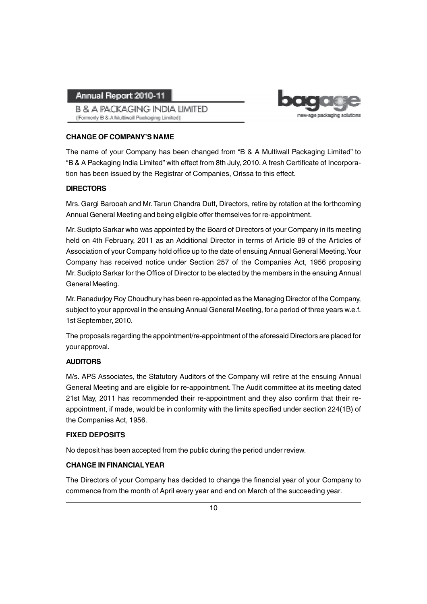

B & A PACKAGING INDIA LIMITED (Formerly B & A Multiwall Packaging Limited)



#### **CHANGE OF COMPANY'S NAME**

The name of your Company has been changed from "B & A Multiwall Packaging Limited" to "B & A Packaging India Limited" with effect from 8th July, 2010. A fresh Certificate of Incorporation has been issued by the Registrar of Companies, Orissa to this effect.

#### **DIRECTORS**

Mrs. Gargi Barooah and Mr. Tarun Chandra Dutt, Directors, retire by rotation at the forthcoming Annual General Meeting and being eligible offer themselves for re-appointment.

Mr. Sudipto Sarkar who was appointed by the Board of Directors of your Company in its meeting held on 4th February, 2011 as an Additional Director in terms of Article 89 of the Articles of Association of your Company hold office up to the date of ensuing Annual General Meeting. Your Company has received notice under Section 257 of the Companies Act, 1956 proposing Mr. Sudipto Sarkar for the Office of Director to be elected by the members in the ensuing Annual General Meeting.

Mr. Ranadurjoy Roy Choudhury has been re-appointed as the Managing Director of the Company, subject to your approval in the ensuing Annual General Meeting, for a period of three years w.e.f. 1st September, 2010.

The proposals regarding the appointment/re-appointment of the aforesaid Directors are placed for your approval.

#### **AUDITORS**

M/s. APS Associates, the Statutory Auditors of the Company will retire at the ensuing Annual General Meeting and are eligible for re-appointment. The Audit committee at its meeting dated 21st May, 2011 has recommended their re-appointment and they also confirm that their reappointment, if made, would be in conformity with the limits specified under section 224(1B) of the Companies Act, 1956.

#### **FIXED DEPOSITS**

No deposit has been accepted from the public during the period under review.

#### **CHANGE IN FINANCIAL YEAR**

The Directors of your Company has decided to change the financial year of your Company to commence from the month of April every year and end on March of the succeeding year.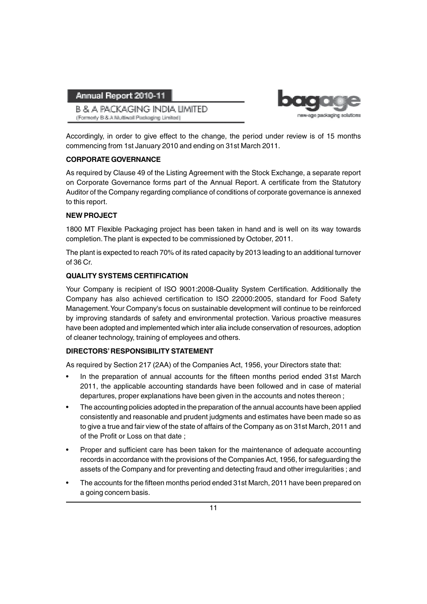**B & A PACKAGING INDIA LIMITED** (Formerly B & A Multiwall Packaging Limited)



Accordingly, in order to give effect to the change, the period under review is of 15 months commencing from 1st January 2010 and ending on 31st March 2011.

### **CORPORATE GOVERNANCE**

As required by Clause 49 of the Listing Agreement with the Stock Exchange, a separate report on Corporate Governance forms part of the Annual Report. A certificate from the Statutory Auditor of the Company regarding compliance of conditions of corporate governance is annexed to this report.

### **NEW PROJECT**

1800 MT Flexible Packaging project has been taken in hand and is well on its way towards completion. The plant is expected to be commissioned by October, 2011.

The plant is expected to reach 70% of its rated capacity by 2013 leading to an additional turnover of 36 Cr.

### **QUALITY SYSTEMS CERTIFICATION**

Your Company is recipient of ISO 9001:2008-Quality System Certification. Additionally the Company has also achieved certification to ISO 22000:2005, standard for Food Safety Management. Your Company's focus on sustainable development will continue to be reinforced by improving standards of safety and environmental protection. Various proactive measures have been adopted and implemented which inter alia include conservation of resources, adoption of cleaner technology, training of employees and others.

#### **DIRECTORS' RESPONSIBILITY STATEMENT**

As required by Section 217 (2AA) of the Companies Act, 1956, your Directors state that:

- In the preparation of annual accounts for the fifteen months period ended 31st March 2011, the applicable accounting standards have been followed and in case of material departures, proper explanations have been given in the accounts and notes thereon ;
- The accounting policies adopted in the preparation of the annual accounts have been applied consistently and reasonable and prudent judgments and estimates have been made so as to give a true and fair view of the state of affairs of the Company as on 31st March, 2011 and of the Profit or Loss on that date ;
- Proper and sufficient care has been taken for the maintenance of adequate accounting records in accordance with the provisions of the Companies Act, 1956, for safeguarding the assets of the Company and for preventing and detecting fraud and other irregularities ; and
- The accounts for the fifteen months period ended 31st March, 2011 have been prepared on a going concern basis.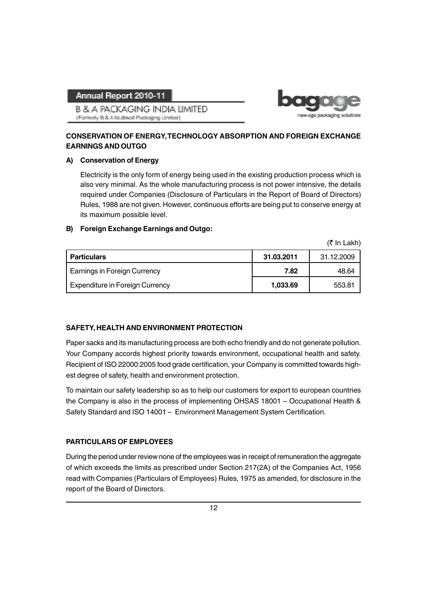**B & A PACKAGING INDIA LIMITED** (Formerly B & A Multiwall Packaging Limited)



### **CONSERVATION OF ENERGY, TECHNOLOGY ABSORPTION AND FOREIGN EXCHANGE EARNINGS AND OUTGO**

### **A) Conservation of Energy**

Electricity is the only form of energy being used in the existing production process which is also very minimal. As the whole manufacturing process is not power intensive, the details required under Companies (Disclosure of Particulars in the Report of Board of Directors) Rules, 1988 are not given. However, continuous efforts are being put to conserve energy at its maximum possible level.

### **B) Foreign Exchange Earnings and Outgo:**

|                                        |            | $($ ₹ In Lakh) |
|----------------------------------------|------------|----------------|
| <b>Particulars</b>                     | 31.03.2011 | 31.12.2009     |
| Earnings in Foreign Currency           | 7.82       | 48.64          |
| <b>Expenditure in Foreign Currency</b> | 1,033.69   | 553.81         |

### **SAFETY, HEALTH AND ENVIRONMENT PROTECTION**

Paper sacks and its manufacturing process are both echo friendly and do not generate pollution. Your Company accords highest priority towards environment, occupational health and safety. Recipient of ISO 22000:2005 food grade certification, your Company is committed towards highest degree of safety, health and environment protection.

To maintain our safety leadership so as to help our customers for export to european countries the Company is also in the process of implementing OHSAS 18001 – Occupational Health & Safety Standard and ISO 14001 – Environment Management System Certification.

### **PARTICULARS OF EMPLOYEES**

During the period under review none of the employees was in receipt of remuneration the aggregate of which exceeds the limits as prescribed under Section 217(2A) of the Companies Act, 1956 read with Companies (Particulars of Employees) Rules, 1975 as amended, for disclosure in the report of the Board of Directors.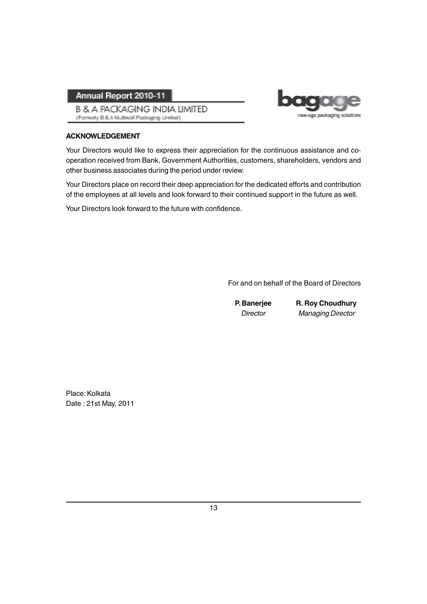



#### **ACKNOWLEDGEMENT**

Your Directors would like to express their appreciation for the continuous assistance and cooperation received from Bank, Government Authorities, customers, shareholders, vendors and other business associates during the period under review.

Your Directors place on record their deep appreciation for the dedicated efforts and contribution of the employees at all levels and look forward to their continued support in the future as well.

Your Directors look forward to the future with confidence.

For and on behalf of the Board of Directors

**P. Banerjee R. Roy Choudhury** Director Managing Director

Place: Kolkata Date : 21st May, 2011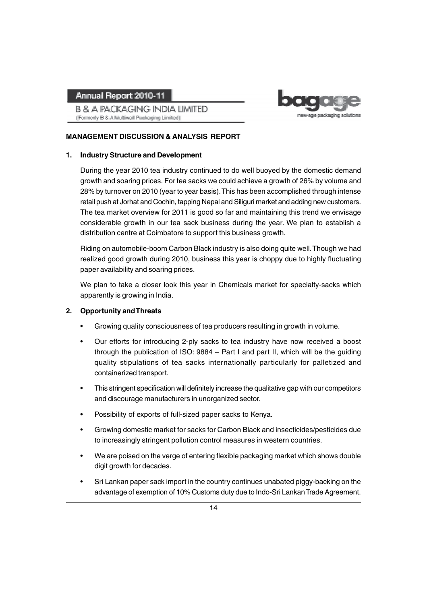

**B & A PACKAGING INDIA LIMITED** (Formerly B & A Multiwall Packaging Limited)



#### **MANAGEMENT DISCUSSION & ANALYSIS REPORT**

#### **1. Industry Structure and Development**

During the year 2010 tea industry continued to do well buoyed by the domestic demand growth and soaring prices. For tea sacks we could achieve a growth of 26% by volume and 28% by turnover on 2010 (year to year basis). This has been accomplished through intense retail push at Jorhat and Cochin, tapping Nepal and Siliguri market and adding new customers. The tea market overview for 2011 is good so far and maintaining this trend we envisage considerable growth in our tea sack business during the year. We plan to establish a distribution centre at Coimbatore to support this business growth.

Riding on automobile-boom Carbon Black industry is also doing quite well. Though we had realized good growth during 2010, business this year is choppy due to highly fluctuating paper availability and soaring prices.

We plan to take a closer look this year in Chemicals market for specialty-sacks which apparently is growing in India.

#### **2. Opportunity and Threats**

- Growing quality consciousness of tea producers resulting in growth in volume.
- Our efforts for introducing 2-ply sacks to tea industry have now received a boost through the publication of ISO: 9884 – Part I and part II, which will be the guiding quality stipulations of tea sacks internationally particularly for palletized and containerized transport.
- This stringent specification will definitely increase the qualitative gap with our competitors and discourage manufacturers in unorganized sector.
- Possibility of exports of full-sized paper sacks to Kenya.
- Growing domestic market for sacks for Carbon Black and insecticides/pesticides due to increasingly stringent pollution control measures in western countries.
- We are poised on the verge of entering flexible packaging market which shows double digit growth for decades.
- Sri Lankan paper sack import in the country continues unabated piggy-backing on the advantage of exemption of 10% Customs duty due to Indo-Sri Lankan Trade Agreement.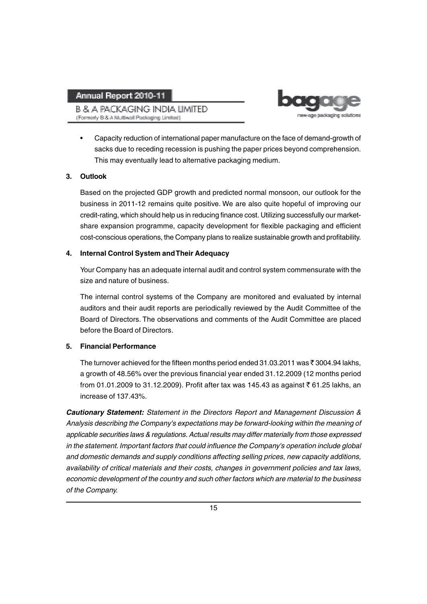R & A PACKAGING INDIA HMITED (Formerly B & A Multiwall Packaging Limited)



• Capacity reduction of international paper manufacture on the face of demand-growth of sacks due to receding recession is pushing the paper prices beyond comprehension. This may eventually lead to alternative packaging medium.

#### **3. Outlook**

Based on the projected GDP growth and predicted normal monsoon, our outlook for the business in 2011-12 remains quite positive. We are also quite hopeful of improving our credit-rating, which should help us in reducing finance cost. Utilizing successfully our marketshare expansion programme, capacity development for flexible packaging and efficient cost-conscious operations, the Company plans to realize sustainable growth and profitability.

#### **4. Internal Control System and Their Adequacy**

Your Company has an adequate internal audit and control system commensurate with the size and nature of business.

The internal control systems of the Company are monitored and evaluated by internal auditors and their audit reports are periodically reviewed by the Audit Committee of the Board of Directors. The observations and comments of the Audit Committee are placed before the Board of Directors.

#### **5. Financial Performance**

The turnover achieved for the fifteen months period ended 31.03.2011 was  $\bar{z}$  3004.94 lakhs, a growth of 48.56% over the previous financial year ended 31.12.2009 (12 months period from 01.01.2009 to 31.12.2009). Profit after tax was 145.43 as against  $\bar{z}$  61.25 lakhs, an increase of 137.43%.

*Cautionary Statement:* Statement in the Directors Report and Management Discussion & Analysis describing the Company's expectations may be forward-looking within the meaning of applicable securities laws & regulations. Actual results may differ materially from those expressed in the statement. Important factors that could influence the Company's operation include global and domestic demands and supply conditions affecting selling prices, new capacity additions, availability of critical materials and their costs, changes in government policies and tax laws, economic development of the country and such other factors which are material to the business of the Company.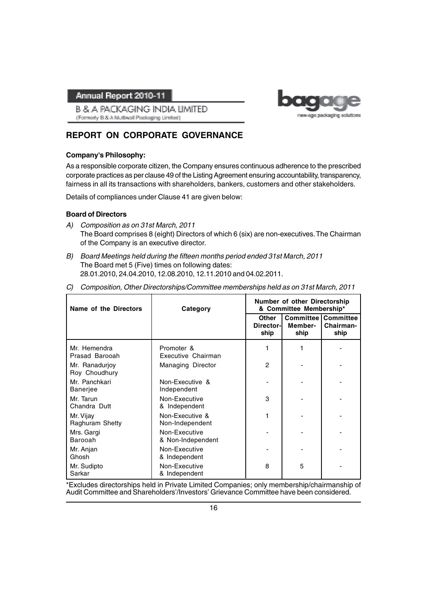



#### B & A PACKAGING INDIA LIMITED (Formerly B & A Mutliwall Packaging Limited)

# **REPORT ON CORPORATE GOVERNANCE**

#### **Company's Philosophy:**

As a responsible corporate citizen, the Company ensures continuous adherence to the prescribed corporate practices as per clause 49 of the Listing Agreement ensuring accountability, transparency, fairness in all its transactions with shareholders, bankers, customers and other stakeholders.

Details of compliances under Clause 41 are given below:

### **Board of Directors**

- A) Composition as on 31st March, 2011 The Board comprises 8 (eight) Directors of which 6 (six) are non-executives. The Chairman of the Company is an executive director.
- B) Board Meetings held during the fifteen months period ended 31st March, 2011 The Board met 5 (Five) times on following dates: 28.01.2010, 24.04.2010, 12.08.2010, 12.11.2010 and 04.02.2011.

| Name of the Directors           | Category                           | Number of other Directorship<br>& Committee Membership* |                 |                                                   |
|---------------------------------|------------------------------------|---------------------------------------------------------|-----------------|---------------------------------------------------|
|                                 |                                    | Other<br>Director-l<br>ship                             | Member-<br>ship | <b>Committee   Committee</b><br>Chairman-<br>ship |
| Mr. Hemendra<br>Prasad Barooah  | Promoter &<br>Executive Chairman   |                                                         |                 |                                                   |
| Mr. Ranadurjoy<br>Roy Choudhury | Managing Director                  | $\mathcal{P}$                                           |                 |                                                   |
| Mr. Panchkari<br>Banerjee       | Non-Executive &<br>Independent     |                                                         |                 |                                                   |
| Mr. Tarun<br>Chandra Dutt       | Non-Executive<br>& Independent     | 3                                                       |                 |                                                   |
| Mr. Vijav<br>Raghuram Shetty    | Non-Executive &<br>Non-Independent |                                                         |                 |                                                   |
| Mrs. Gargi<br>Barooah           | Non-Executive<br>& Non-Independent |                                                         |                 |                                                   |
| Mr. Anjan<br>Ghosh              | Non-Executive<br>& Independent     |                                                         |                 |                                                   |
| Mr. Sudipto<br>Sarkar           | Non-Executive<br>& Independent     | 8                                                       | 5               |                                                   |

C) Composition, Other Directorships/Committee memberships held as on 31st March, 2011

\*Excludes directorships held in Private Limited Companies; only membership/chairmanship of Audit Committee and Shareholders'/Investors' Grievance Committee have been considered.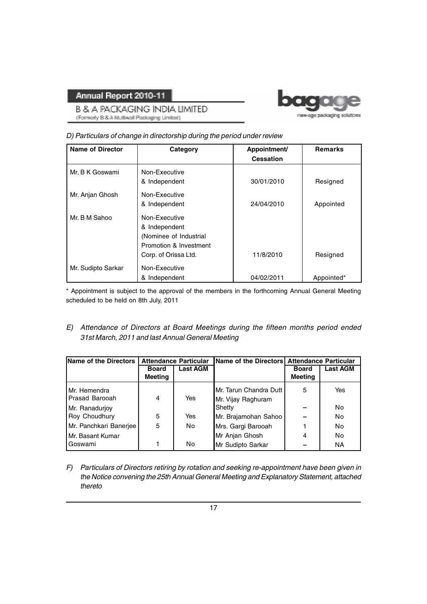

(Formerly B & A.Multiwall Packaging Limited)

**B & A PACKAGING INDIA LIMITED** 

| <b>Name of Director</b> | Category               | Appointment/     | <b>Remarks</b> |
|-------------------------|------------------------|------------------|----------------|
|                         |                        | <b>Cessation</b> |                |
| Mr. B K Goswami         | Non-Executive          |                  |                |
|                         | & Independent          | 30/01/2010       | Resigned       |
| Mr. Anjan Ghosh         | Non-Executive          |                  |                |
|                         | & Independent          | 24/04/2010       | Appointed      |
|                         |                        |                  |                |
| Mr. B M Sahoo           | Non-Executive          |                  |                |
|                         | & Independent          |                  |                |
|                         | (Nominee of Industrial |                  |                |
|                         | Promotion & Investment |                  |                |
|                         | Corp. of Orissa Ltd.   | 11/8/2010        | Resigned       |
| Mr. Sudipto Sarkar      | Non-Executive          |                  |                |
|                         | & Independent          | 04/02/2011       | Appointed*     |

\* Appointment is subject to the approval of the members in the forthcoming Annual General Meeting scheduled to be held on 8th July, 2011

### E) Attendance of Directors at Board Meetings during the fifteen months period ended 31st March, 2011 and last Annual General Meeting

| Name of the Directors          | <b>Attendance Particular</b>   |                 | <b>IName of the Directors</b>                |                                | <b>Attendance Particular</b> |
|--------------------------------|--------------------------------|-----------------|----------------------------------------------|--------------------------------|------------------------------|
|                                | <b>Board</b><br><b>Meeting</b> | <b>Last AGM</b> |                                              | <b>Board</b><br><b>Meeting</b> | <b>Last AGM</b>              |
| Mr. Hemendra<br>Prasad Barooah | 4                              | Yes             | Mr. Tarun Chandra Dutt<br>Mr. Vijay Raghuram | 5                              | Yes                          |
| Mr. Ranaduriov                 |                                |                 | Shetty                                       |                                | No                           |
| Roy Choudhury                  | 5                              | Yes             | Mr. Brajamohan Sahoo                         |                                | No                           |
| Mr. Panchkari Banerjee         | 5                              | No.             | Mrs. Gargi Barooah                           |                                | No                           |
| Mr. Basant Kumar               |                                |                 | Mr Anjan Ghosh                               | 4                              | No                           |
| Goswami                        |                                | No.             | Mr Sudipto Sarkar                            |                                | <b>NA</b>                    |

F) Particulars of Directors retiring by rotation and seeking re-appointment have been given in the Notice convening the 25th Annual General Meeting and Explanatory Statement, attached thereto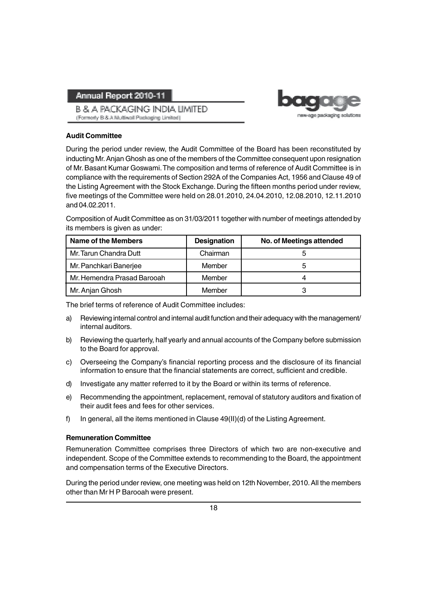



#### **Audit Committee**

During the period under review, the Audit Committee of the Board has been reconstituted by inducting Mr. Anjan Ghosh as one of the members of the Committee consequent upon resignation of Mr. Basant Kumar Goswami. The composition and terms of reference of Audit Committee is in compliance with the requirements of Section 292A of the Companies Act, 1956 and Clause 49 of the Listing Agreement with the Stock Exchange. During the fifteen months period under review, five meetings of the Committee were held on 28.01.2010, 24.04.2010, 12.08.2010, 12.11.2010 and 04.02.2011.

Composition of Audit Committee as on 31/03/2011 together with number of meetings attended by its members is given as under:

| <b>Name of the Members</b>  | <b>Designation</b> | No. of Meetings attended |
|-----------------------------|--------------------|--------------------------|
| Mr. Tarun Chandra Dutt      | Chairman           |                          |
| Mr. Panchkari Banerjee      | Member             |                          |
| Mr. Hemendra Prasad Barooah | Member             |                          |
| Mr. Anjan Ghosh             | Member             |                          |

The brief terms of reference of Audit Committee includes:

- a) Reviewing internal control and internal audit function and their adequacy with the management/ internal auditors.
- b) Reviewing the quarterly, half yearly and annual accounts of the Company before submission to the Board for approval.
- c) Overseeing the Company's financial reporting process and the disclosure of its financial information to ensure that the financial statements are correct, sufficient and credible.
- d) Investigate any matter referred to it by the Board or within its terms of reference.
- e) Recommending the appointment, replacement, removal of statutory auditors and fixation of their audit fees and fees for other services.
- f) In general, all the items mentioned in Clause 49(II)(d) of the Listing Agreement.

#### **Remuneration Committee**

Remuneration Committee comprises three Directors of which two are non-executive and independent. Scope of the Committee extends to recommending to the Board, the appointment and compensation terms of the Executive Directors.

During the period under review, one meeting was held on 12th November, 2010. All the members other than Mr H P Barooah were present.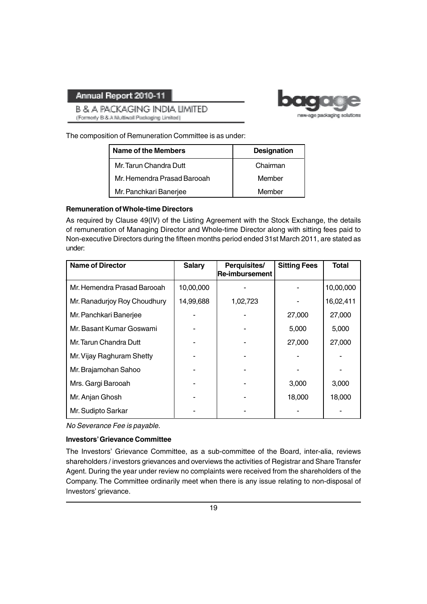

**B & A PACKAGING INDIA LIMITED** (Formerly B & A Multiwall Packaging Limited)

The composition of Remuneration Committee is as under:

| Name of the Members         | <b>Designation</b> |
|-----------------------------|--------------------|
| Mr. Tarun Chandra Dutt      | Chairman           |
| Mr. Hemendra Prasad Barooah | Member             |
| Mr. Panchkari Banerjee      | Member             |

### **Remuneration of Whole-time Directors**

As required by Clause 49(IV) of the Listing Agreement with the Stock Exchange, the details of remuneration of Managing Director and Whole-time Director along with sitting fees paid to Non-executive Directors during the fifteen months period ended 31st March 2011, are stated as under:

| <b>Name of Director</b>      | <b>Salary</b> | Perquisites/<br><b>Re-imbursement</b> | <b>Sitting Fees</b> | Total     |
|------------------------------|---------------|---------------------------------------|---------------------|-----------|
| Mr. Hemendra Prasad Barooah  | 10,00,000     |                                       |                     | 10,00,000 |
| Mr. Ranadurjoy Roy Choudhury | 14,99,688     | 1,02,723                              |                     | 16,02,411 |
| Mr. Panchkari Banerjee       |               |                                       | 27,000              | 27,000    |
| Mr. Basant Kumar Goswami     |               |                                       | 5,000               | 5,000     |
| Mr. Tarun Chandra Dutt       |               |                                       | 27,000              | 27,000    |
| Mr. Vijay Raghuram Shetty    |               |                                       |                     |           |
| Mr. Brajamohan Sahoo         |               |                                       |                     |           |
| Mrs. Gargi Barooah           |               |                                       | 3,000               | 3,000     |
| Mr. Anjan Ghosh              |               |                                       | 18,000              | 18,000    |
| Mr. Sudipto Sarkar           |               |                                       |                     |           |

No Severance Fee is payable.

### **Investors' Grievance Committee**

The Investors' Grievance Committee, as a sub-committee of the Board, inter-alia, reviews shareholders / investors grievances and overviews the activities of Registrar and Share Transfer Agent. During the year under review no complaints were received from the shareholders of the Company. The Committee ordinarily meet when there is any issue relating to non-disposal of Investors' grievance.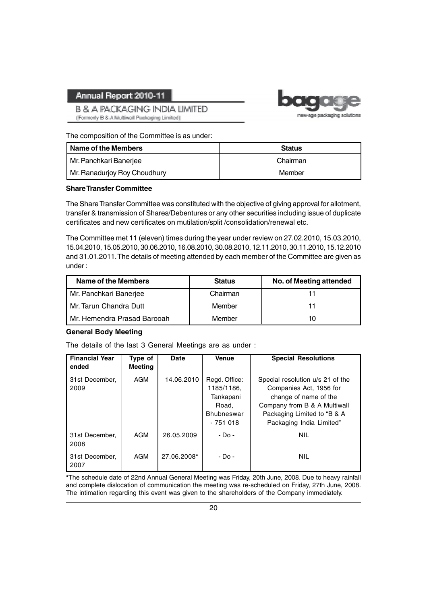okaning sol

**B & A PACKAGING INDIA LIMITED** (Formerly B & A Mutliwall Packaging Limited)

#### The composition of the Committee is as under:

| l Name of the Members        | <b>Status</b> |
|------------------------------|---------------|
| Mr. Panchkari Banerjee       | Chairman      |
| Mr. Ranadurjoy Roy Choudhury | Member        |

#### **Share Transfer Committee**

The Share Transfer Committee was constituted with the objective of giving approval for allotment, transfer & transmission of Shares/Debentures or any other securities including issue of duplicate certificates and new certificates on mutilation/split /consolidation/renewal etc.

The Committee met 11 (eleven) times during the year under review on 27.02.2010, 15.03.2010, 15.04.2010, 15.05.2010, 30.06.2010, 16.08.2010, 30.08.2010, 12.11.2010, 30.11.2010, 15.12.2010 and 31.01.2011. The details of meeting attended by each member of the Committee are given as under :

| Name of the Members            | <b>Status</b> | No. of Meeting attended |
|--------------------------------|---------------|-------------------------|
| Mr. Panchkari Banerjee         | Chairman      |                         |
| l Mr. Tarun Chandra Dutt       | Member        |                         |
| l Mr. Hemendra Prasad Barooah. | Member        | 10                      |

#### **General Body Meeting**

The details of the last 3 General Meetings are as under :

| <b>Financial Year</b><br>ended | Type of<br><b>Meeting</b> | Date        | <b>Venue</b>                                                                        | <b>Special Resolutions</b>                                                                                                                                                      |
|--------------------------------|---------------------------|-------------|-------------------------------------------------------------------------------------|---------------------------------------------------------------------------------------------------------------------------------------------------------------------------------|
| 31st December.<br>2009         | AGM                       | 14.06.2010  | Regd. Office:<br>1185/1186,<br>Tankapani<br>Road,<br><b>Bhubneswar</b><br>$-751018$ | Special resolution u/s 21 of the<br>Companies Act, 1956 for<br>change of name of the<br>Company from B & A Multiwall<br>Packaging Limited to "B & A<br>Packaging India Limited" |
| 31st December.<br>2008         | AGM                       | 26.05.2009  | $-$ Do $-$                                                                          | <b>NIL</b>                                                                                                                                                                      |
| 31st December,<br>2007         | AGM                       | 27.06.2008* | - Do -                                                                              | <b>NIL</b>                                                                                                                                                                      |

**\***The schedule date of 22nd Annual General Meeting was Friday, 20th June, 2008. Due to heavy rainfall and complete dislocation of communication the meeting was re-scheduled on Friday, 27th June, 2008. The intimation regarding this event was given to the shareholders of the Company immediately.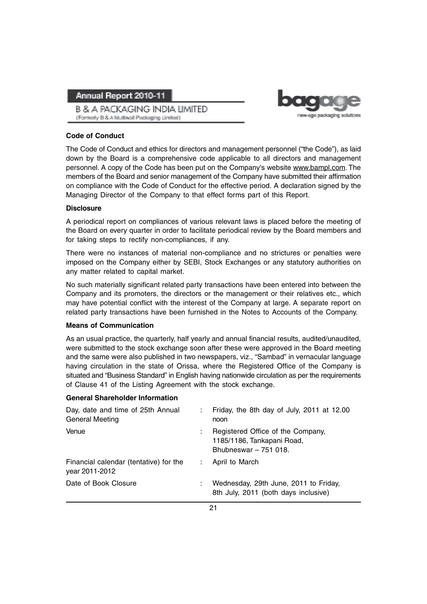



#### **Code of Conduct**

The Code of Conduct and ethics for directors and management personnel ("the Code"), as laid down by the Board is a comprehensive code applicable to all directors and management personnel. A copy of the Code has been put on the Company's website www.bampl.com. The members of the Board and senior management of the Company have submitted their affirmation on compliance with the Code of Conduct for the effective period. A declaration signed by the Managing Director of the Company to that effect forms part of this Report.

#### **Disclosure**

A periodical report on compliances of various relevant laws is placed before the meeting of the Board on every quarter in order to facilitate periodical review by the Board members and for taking steps to rectify non-compliances, if any.

There were no instances of material non-compliance and no strictures or penalties were imposed on the Company either by SEBI, Stock Exchanges or any statutory authorities on any matter related to capital market.

No such materially significant related party transactions have been entered into between the Company and its promoters, the directors or the management or their relatives etc., which may have potential conflict with the interest of the Company at large. A separate report on related party transactions have been furnished in the Notes to Accounts of the Company.

#### **Means of Communication**

As an usual practice, the quarterly, half yearly and annual financial results, audited/unaudited, were submitted to the stock exchange soon after these were approved in the Board meeting and the same were also published in two newspapers, viz., "Sambad" in vernacular language having circulation in the state of Orissa, where the Registered Office of the Company is situated and "Business Standard" in English having nationwide circulation as per the requirements of Clause 41 of the Listing Agreement with the stock exchange.

#### **General Shareholder Information**

| Day, date and time of 25th Annual<br><b>General Meeting</b> | Friday, the 8th day of July, 2011 at 12.00<br>noon                                        |
|-------------------------------------------------------------|-------------------------------------------------------------------------------------------|
| Venue                                                       | Registered Office of the Company,<br>1185/1186, Tankapani Road,<br>Bhubneswar $-751$ 018. |
| Financial calendar (tentative) for the<br>year 2011-2012    | April to March                                                                            |
| Date of Book Closure                                        | Wednesday, 29th June, 2011 to Friday,<br>8th July, 2011 (both days inclusive)             |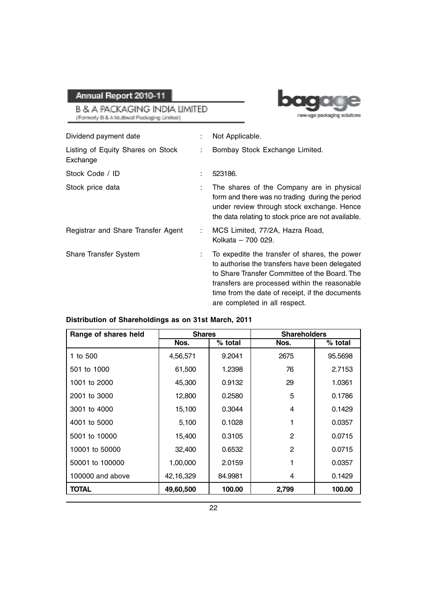bo new-age packaging solutions

B & A PACKAGING INDIA LIMITED (Formerly B & A Multiwall Packaging Limited)

| Dividend payment date                         |    | Not Applicable.                                                                                                                                                                                                                                                                       |
|-----------------------------------------------|----|---------------------------------------------------------------------------------------------------------------------------------------------------------------------------------------------------------------------------------------------------------------------------------------|
| Listing of Equity Shares on Stock<br>Exchange | ÷  | Bombay Stock Exchange Limited.                                                                                                                                                                                                                                                        |
| Stock Code / ID                               | ÷. | 523186.                                                                                                                                                                                                                                                                               |
| Stock price data                              | ÷. | The shares of the Company are in physical<br>form and there was no trading during the period<br>under review through stock exchange. Hence<br>the data relating to stock price are not available.                                                                                     |
| Registrar and Share Transfer Agent            | ÷. | MCS Limited, 77/2A, Hazra Road,<br>Kolkata - 700 029.                                                                                                                                                                                                                                 |
| <b>Share Transfer System</b>                  |    | To expedite the transfer of shares, the power<br>to authorise the transfers have been delegated<br>to Share Transfer Committee of the Board. The<br>transfers are processed within the reasonable<br>time from the date of receipt, if the documents<br>are completed in all respect. |

## **Distribution of Shareholdings as on 31st March, 2011**

| Range of shares held | <b>Shares</b> |           | <b>Shareholders</b> |           |  |
|----------------------|---------------|-----------|---------------------|-----------|--|
|                      | Nos.          | $%$ total | Nos.                | $%$ total |  |
| 1 to 500             | 4,56,571      | 9.2041    | 2675                | 95.5698   |  |
| 501 to 1000          | 61,500        | 1.2398    | 76                  | 2.7153    |  |
| 1001 to 2000         | 45,300        | 0.9132    | 29                  | 1.0361    |  |
| 2001 to 3000         | 12,800        | 0.2580    | 5                   | 0.1786    |  |
| 3001 to 4000         | 15,100        | 0.3044    | 4                   | 0.1429    |  |
| 4001 to 5000         | 5,100         | 0.1028    | 1                   | 0.0357    |  |
| 5001 to 10000        | 15,400        | 0.3105    | 2                   | 0.0715    |  |
| 10001 to 50000       | 32,400        | 0.6532    | 2                   | 0.0715    |  |
| 50001 to 100000      | 1,00,000      | 2.0159    |                     | 0.0357    |  |
| 100000 and above     | 42,16,329     | 84.9981   | 4                   | 0.1429    |  |
| <b>TOTAL</b>         | 49,60,500     | 100.00    | 2,799               | 100.00    |  |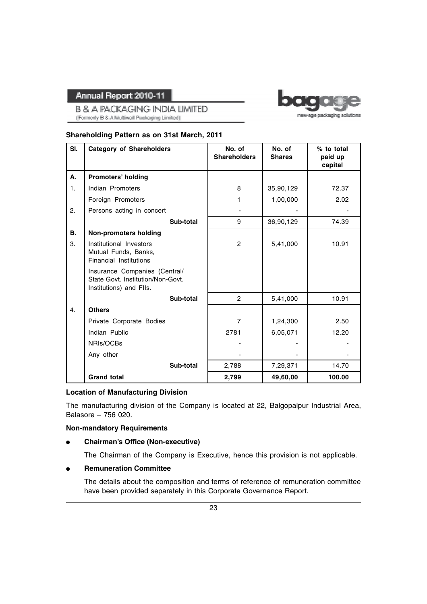

**B & A PACKAGING INDIA LIMITED** (Formerly B & A.Multiwall Packaging Limited)

#### **Shareholding Pattern as on 31st March, 2011**

| SI.              | <b>Category of Shareholders</b>                                                               | No. of<br><b>Shareholders</b> | No. of<br><b>Shares</b> | % to total<br>paid up<br>capital |
|------------------|-----------------------------------------------------------------------------------------------|-------------------------------|-------------------------|----------------------------------|
| А.               | <b>Promoters' holding</b>                                                                     |                               |                         |                                  |
| $\mathbf{1}$ .   | Indian Promoters                                                                              | 8                             | 35,90,129               | 72.37                            |
|                  | Foreign Promoters                                                                             | 1                             | 1,00,000                | 2.02                             |
| 2.               | Persons acting in concert                                                                     |                               |                         |                                  |
|                  | Sub-total                                                                                     | 9                             | 36,90,129               | 74.39                            |
| <b>B.</b>        | <b>Non-promoters holding</b>                                                                  |                               |                         |                                  |
| 3.               | Institutional Investors<br>Mutual Funds, Banks,<br><b>Financial Institutions</b>              | $\overline{2}$                | 5,41,000                | 10.91                            |
|                  | Insurance Companies (Central/<br>State Govt. Institution/Non-Govt.<br>Institutions) and FIIs. |                               |                         |                                  |
|                  | Sub-total                                                                                     | $\overline{2}$                | 5,41,000                | 10.91                            |
| $\overline{4}$ . | <b>Others</b>                                                                                 |                               |                         |                                  |
|                  | Private Corporate Bodies                                                                      | 7                             | 1,24,300                | 2.50                             |
|                  | Indian Public                                                                                 | 2781                          | 6,05,071                | 12.20                            |
|                  | NRIs/OCBs                                                                                     |                               |                         |                                  |
|                  | Any other                                                                                     |                               |                         |                                  |
|                  | Sub-total                                                                                     | 2,788                         | 7,29,371                | 14.70                            |
|                  | <b>Grand total</b>                                                                            | 2,799                         | 49,60,00                | 100.00                           |

### **Location of Manufacturing Division**

The manufacturing division of the Company is located at 22, Balgopalpur Industrial Area, Balasore – 756 020.

#### **Non-mandatory Requirements**

#### ● **Chairman's Office (Non-executive)**

The Chairman of the Company is Executive, hence this provision is not applicable.

### **Remuneration Committee**

The details about the composition and terms of reference of remuneration committee have been provided separately in this Corporate Governance Report.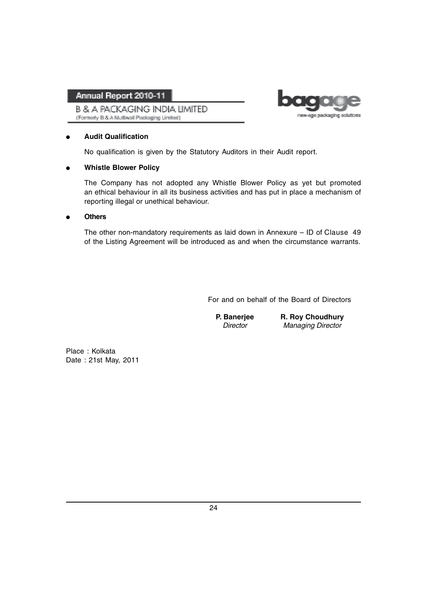**B & A PACKAGING INDIA LIMITED** (Formerly B & A Multiwall Packaging Limited)



#### **Audit Qualification**

No qualification is given by the Statutory Auditors in their Audit report.

#### ● **Whistle Blower Policy**

The Company has not adopted any Whistle Blower Policy as yet but promoted an ethical behaviour in all its business activities and has put in place a mechanism of reporting illegal or unethical behaviour.

#### ● **Others**

The other non-mandatory requirements as laid down in Annexure – ID of Clause 49 of the Listing Agreement will be introduced as and when the circumstance warrants.

For and on behalf of the Board of Directors

**P. Banerjee R. Roy Choudhury** Director Managing Director

Place : Kolkata Date : 21st May, 2011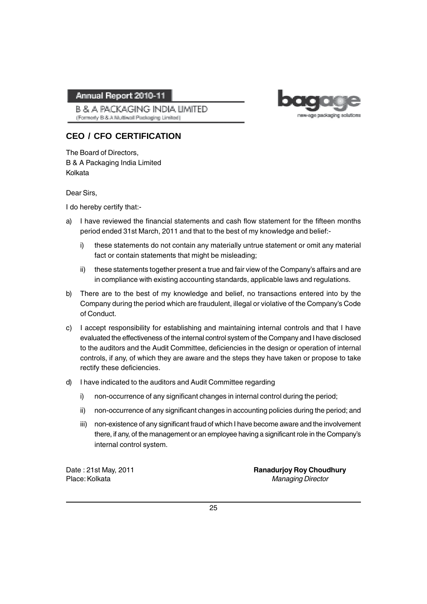**B & A PACKAGING INDIA LIMITED** (Formerly B & A Multiwall Packaging Limited)

# **CEO / CFO CERTIFICATION**

The Board of Directors, B & A Packaging India Limited Kolkata

Dear Sirs,

I do hereby certify that:-

- a) I have reviewed the financial statements and cash flow statement for the fifteen months period ended 31st March, 2011 and that to the best of my knowledge and belief:
	- i) these statements do not contain any materially untrue statement or omit any material fact or contain statements that might be misleading;
	- ii) these statements together present a true and fair view of the Company's affairs and are in compliance with existing accounting standards, applicable laws and regulations.
- b) There are to the best of my knowledge and belief, no transactions entered into by the Company during the period which are fraudulent, illegal or violative of the Company's Code of Conduct.
- c) I accept responsibility for establishing and maintaining internal controls and that I have evaluated the effectiveness of the internal control system of the Company and I have disclosed to the auditors and the Audit Committee, deficiencies in the design or operation of internal controls, if any, of which they are aware and the steps they have taken or propose to take rectify these deficiencies.
- d) I have indicated to the auditors and Audit Committee regarding
	- i) non-occurrence of any significant changes in internal control during the period;
	- ii) non-occurrence of any significant changes in accounting policies during the period; and
	- iii) non-existence of any significant fraud of which I have become aware and the involvement there, if any, of the management or an employee having a significant role in the Company's internal control system.

Date : 21st May, 2011 **Ranadurjoy Roy Choudhury** Place: Kolkata Managing Director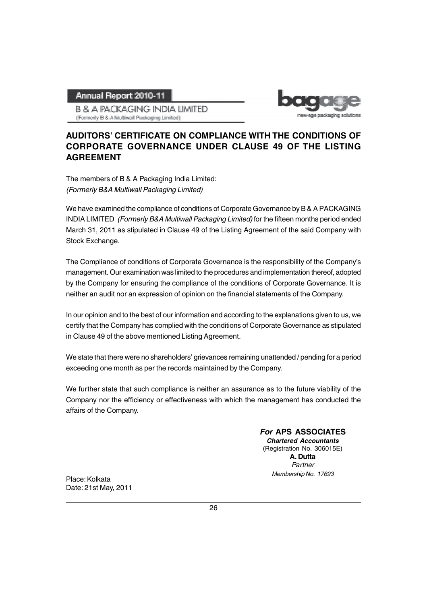**B & A PACKAGING INDIA LIMITED** (Formerly B & A Multiwall Packaging Limited)



# **AUDITORS' CERTIFICATE ON COMPLIANCE WITH THE CONDITIONS OF CORPORATE GOVERNANCE UNDER CLAUSE 49 OF THE LISTING AGREEMENT**

The members of B & A Packaging India Limited: (Formerly B&A Multiwall Packaging Limited)

We have examined the compliance of conditions of Corporate Governance by B & A PACKAGING INDIA LIMITED (Formerly B&A Multiwall Packaging Limited) for the fifteen months period ended March 31, 2011 as stipulated in Clause 49 of the Listing Agreement of the said Company with Stock Exchange.

The Compliance of conditions of Corporate Governance is the responsibility of the Company's management. Our examination was limited to the procedures and implementation thereof, adopted by the Company for ensuring the compliance of the conditions of Corporate Governance. It is neither an audit nor an expression of opinion on the financial statements of the Company.

In our opinion and to the best of our information and according to the explanations given to us, we certify that the Company has complied with the conditions of Corporate Governance as stipulated in Clause 49 of the above mentioned Listing Agreement.

We state that there were no shareholders' grievances remaining unattended / pending for a period exceeding one month as per the records maintained by the Company.

We further state that such compliance is neither an assurance as to the future viability of the Company nor the efficiency or effectiveness with which the management has conducted the affairs of the Company.

### *For* **APS ASSOCIATES**

*Chartered Accountants* (Registration No. 306015E) **A. Dutta Partner** Membership No. 17693

Place: Kolkata Date: 21st May, 2011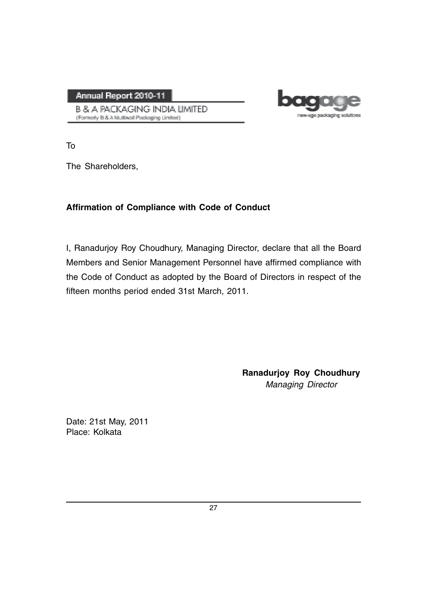**B & A PACKAGING INDIA LIMITED** (Formerly B & A Muttiwall Packaging Limited)



To

The Shareholders,

# **Affirmation of Compliance with Code of Conduct**

I, Ranadurjoy Roy Choudhury, Managing Director, declare that all the Board Members and Senior Management Personnel have affirmed compliance with the Code of Conduct as adopted by the Board of Directors in respect of the fifteen months period ended 31st March, 2011.

> **Ranadurjoy Roy Choudhury** Managing Director

Date: 21st May, 2011 Place: Kolkata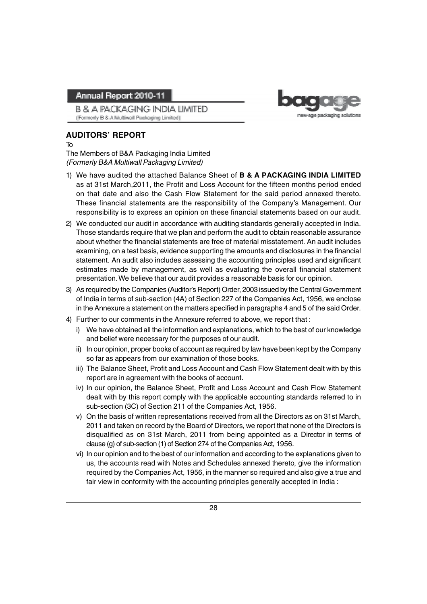B & A PACKAGING INDIA LIMITED (Formerly B & A.Mutliwall Packaging Limited)



### **AUDITORS' REPORT**

To

The Members of B&A Packaging India Limited (Formerly B&A Multiwall Packaging Limited)

- 1) We have audited the attached Balance Sheet of **B & A PACKAGING INDIA LIMITED** as at 31st March,2011, the Profit and Loss Account for the fifteen months period ended on that date and also the Cash Flow Statement for the said period annexed thereto. These financial statements are the responsibility of the Company's Management. Our responsibility is to express an opinion on these financial statements based on our audit.
- 2) We conducted our audit in accordance with auditing standards generally accepted in India. Those standards require that we plan and perform the audit to obtain reasonable assurance about whether the financial statements are free of material misstatement. An audit includes examining, on a test basis, evidence supporting the amounts and disclosures in the financial statement. An audit also includes assessing the accounting principles used and significant estimates made by management, as well as evaluating the overall financial statement presentation. We believe that our audit provides a reasonable basis for our opinion.
- 3) As required by the Companies (Auditor's Report) Order, 2003 issued by the Central Government of India in terms of sub-section (4A) of Section 227 of the Companies Act, 1956, we enclose in the Annexure a statement on the matters specified in paragraphs 4 and 5 of the said Order.
- 4) Further to our comments in the Annexure referred to above, we report that :
	- i) We have obtained all the information and explanations, which to the best of our knowledge and belief were necessary for the purposes of our audit.
	- ii) In our opinion, proper books of account as required by law have been kept by the Company so far as appears from our examination of those books.
	- iii) The Balance Sheet, Profit and Loss Account and Cash Flow Statement dealt with by this report are in agreement with the books of account.
	- iv) In our opinion, the Balance Sheet, Profit and Loss Account and Cash Flow Statement dealt with by this report comply with the applicable accounting standards referred to in sub-section (3C) of Section 211 of the Companies Act, 1956.
	- v) On the basis of written representations received from all the Directors as on 31st March, 2011 and taken on record by the Board of Directors, we report that none of the Directors is disqualified as on 31st March, 2011 from being appointed as a Director in terms of clause (g) of sub-section (1) of Section 274 of the Companies Act, 1956.
	- vi) In our opinion and to the best of our information and according to the explanations given to us, the accounts read with Notes and Schedules annexed thereto, give the information required by the Companies Act, 1956, in the manner so required and also give a true and fair view in conformity with the accounting principles generally accepted in India :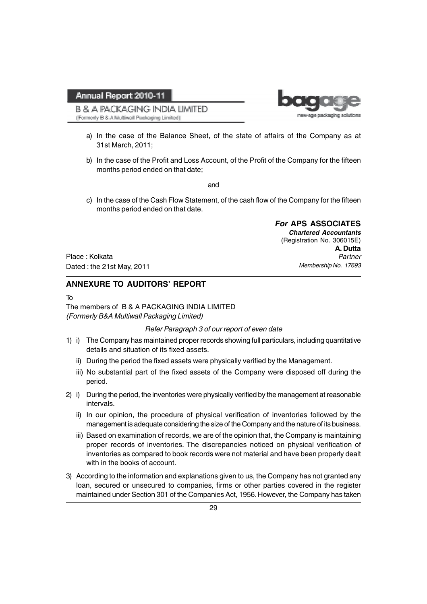**B & A PACKAGING INDIA LIMITED** (Formerly B & A Multiwall Packaging Limited)



- a) In the case of the Balance Sheet, of the state of affairs of the Company as at 31st March, 2011;
- b) In the case of the Profit and Loss Account, of the Profit of the Company for the fifteen months period ended on that date;

and

c) In the case of the Cash Flow Statement, of the cash flow of the Company for the fifteen months period ended on that date.

> *For* **APS ASSOCIATES** *Chartered Accountants* (Registration No. 306015E) **A. Dutta** Partner Membership No. 17693

Place : Kolkata Dated : the 21st May, 2011

### **ANNEXURE TO AUDITORS' REPORT**

To

The members of B & A PACKAGING INDIA LIMITED (Formerly B&A Multiwall Packaging Limited)

#### Refer Paragraph 3 of our report of even date

- 1) i) The Company has maintained proper records showing full particulars, including quantitative details and situation of its fixed assets.
	- ii) During the period the fixed assets were physically verified by the Management.
	- iii) No substantial part of the fixed assets of the Company were disposed off during the period.
- 2) i) During the period, the inventories were physically verified by the management at reasonable intervals.
	- ii) In our opinion, the procedure of physical verification of inventories followed by the management is adequate considering the size of the Company and the nature of its business.
	- iii) Based on examination of records, we are of the opinion that, the Company is maintaining proper records of inventories. The discrepancies noticed on physical verification of inventories as compared to book records were not material and have been properly dealt with in the books of account.
- 3) According to the information and explanations given to us, the Company has not granted any loan, secured or unsecured to companies, firms or other parties covered in the register maintained under Section 301 of the Companies Act, 1956. However, the Company has taken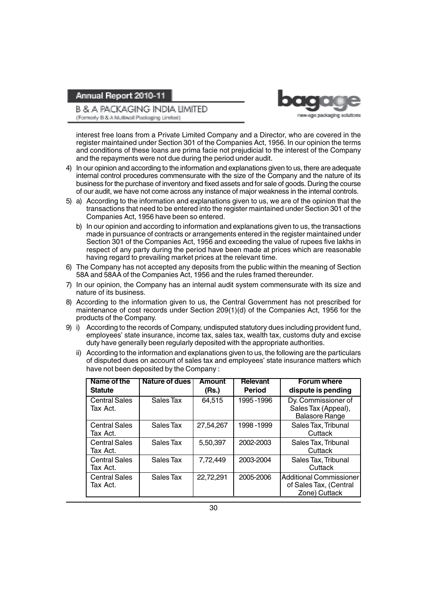B & A PACKAGING INDIA LIMITED (Formerly B & A Multiwall Packaging Limited)



interest free loans from a Private Limited Company and a Director, who are covered in the register maintained under Section 301 of the Companies Act, 1956. In our opinion the terms and conditions of these loans are prima facie not prejudicial to the interest of the Company and the repayments were not due during the period under audit.

- 4) In our opinion and according to the information and explanations given to us, there are adequate internal control procedures commensurate with the size of the Company and the nature of its business for the purchase of inventory and fixed assets and for sale of goods. During the course of our audit, we have not come across any instance of major weakness in the internal controls.
- 5) a) According to the information and explanations given to us, we are of the opinion that the transactions that need to be entered into the register maintained under Section 301 of the Companies Act, 1956 have been so entered.
	- b) In our opinion and according to information and explanations given to us, the transactions made in pursuance of contracts or arrangements entered in the register maintained under Section 301 of the Companies Act, 1956 and exceeding the value of rupees five lakhs in respect of any party during the period have been made at prices which are reasonable having regard to prevailing market prices at the relevant time.
- 6) The Company has not accepted any deposits from the public within the meaning of Section 58A and 58AA of the Companies Act, 1956 and the rules framed thereunder.
- 7) In our opinion, the Company has an internal audit system commensurate with its size and nature of its business.
- 8) According to the information given to us, the Central Government has not prescribed for maintenance of cost records under Section 209(1)(d) of the Companies Act, 1956 for the products of the Company.
- 9) i) According to the records of Company, undisputed statutory dues including provident fund, employees' state insurance, income tax, sales tax, wealth tax, customs duty and excise duty have generally been regularly deposited with the appropriate authorities.
	- ii) According to the information and explanations given to us, the following are the particulars of disputed dues on account of sales tax and employees' state insurance matters which have not been deposited by the Company :

| Name of the<br><b>Statute</b>    | <b>Nature of dues</b> | <b>Amount</b><br>(Rs.) | Relevant<br><b>Period</b> | <b>Forum where</b><br>dispute is pending                            |
|----------------------------------|-----------------------|------------------------|---------------------------|---------------------------------------------------------------------|
| <b>Central Sales</b><br>Tax Act. | Sales Tax             | 64,515                 | 1995-1996                 | Dy. Commissioner of<br>Sales Tax (Appeal),<br><b>Balasore Range</b> |
| <b>Central Sales</b><br>Tax Act. | Sales Tax             | 27,54,267              | 1998-1999                 | Sales Tax, Tribunal<br>Cuttack                                      |
| <b>Central Sales</b><br>Tax Act. | Sales Tax             | 5,50,397               | 2002-2003                 | Sales Tax, Tribunal<br>Cuttack                                      |
| <b>Central Sales</b><br>Tax Act. | Sales Tax             | 7,72,449               | 2003-2004                 | Sales Tax, Tribunal<br>Cuttack                                      |
| <b>Central Sales</b><br>Tax Act. | Sales Tax             | 22,72,291              | 2005-2006                 | Additional Commissioner<br>of Sales Tax, (Central<br>Zone) Cuttack  |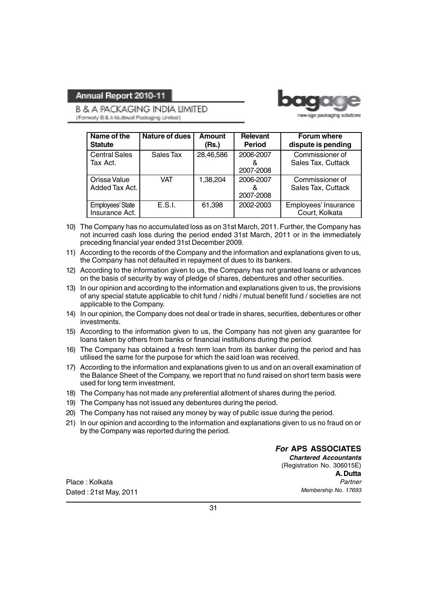

B & A PACKAGING INDIA LIMITED (Formerly B & A Multiwall Packaging Limited)

| Name of the<br><b>Statute</b>      | Nature of dues | Amount<br>(Rs.) | <b>Relevant</b><br><b>Period</b> | <b>Forum where</b><br>dispute is pending |
|------------------------------------|----------------|-----------------|----------------------------------|------------------------------------------|
| <b>Central Sales</b><br>Tax Act.   | Sales Tax      | 28,46,586       | 2006-2007<br>8<br>2007-2008      | Commissioner of<br>Sales Tax, Cuttack    |
| Orissa Value<br>Added Tax Act.     | <b>VAT</b>     | 1,38,204        | 2006-2007<br>ਲ<br>2007-2008      | Commissioner of<br>Sales Tax, Cuttack    |
| Employees' State<br>Insurance Act. | E.S.I.         | 61.398          | 2002-2003                        | Employees' Insurance<br>Court, Kolkata   |

- 10) The Company has no accumulated loss as on 31st March, 2011. Further, the Company has not incurred cash loss during the period ended 31st March, 2011 or in the immediately preceding financial year ended 31st December 2009.
- 11) According to the records of the Company and the information and explanations given to us, the Company has not defaulted in repayment of dues to its bankers.
- 12) According to the information given to us, the Company has not granted loans or advances on the basis of security by way of pledge of shares, debentures and other securities.
- 13) In our opinion and according to the information and explanations given to us, the provisions of any special statute applicable to chit fund / nidhi / mutual benefit fund / societies are not applicable to the Company.
- 14) In our opinion, the Company does not deal or trade in shares, securities, debentures or other investments.
- 15) According to the information given to us, the Company has not given any guarantee for loans taken by others from banks or financial institutions during the period.
- 16) The Company has obtained a fresh term loan from its banker during the period and has utilised the same for the purpose for which the said loan was received.
- 17) According to the information and explanations given to us and on an overall examination of the Balance Sheet of the Company, we report that no fund raised on short term basis were used for long term investment.
- 18) The Company has not made any preferential allotment of shares during the period.
- 19) The Company has not issued any debentures during the period.
- 20) The Company has not raised any money by way of public issue during the period.
- 21) In our opinion and according to the information and explanations given to us no fraud on or by the Company was reported during the period.

Place : Kolkata Dated : 21st May, 2011 *For* **APS ASSOCIATES** *Chartered Accountants* (Registration No. 306015E) **A. Dutta** Partner Membership No. 17693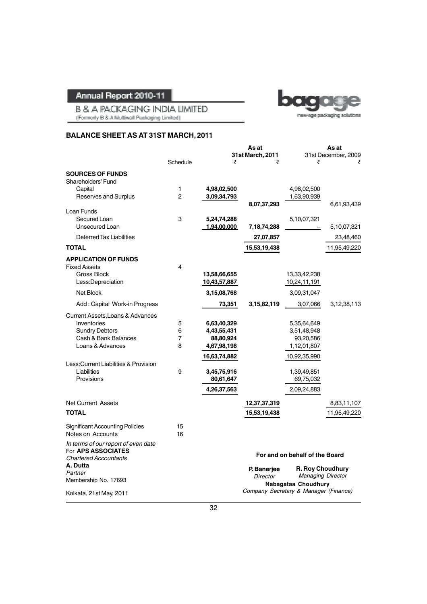**B & A PACKAGING INDIA LIMITED** (Formerly B & A Muttiwall Packaging Limited)



#### **BALANCE SHEET AS AT 31ST MARCH, 2011**

|                                             |                | As at        |                              | As at                                 |                     |  |
|---------------------------------------------|----------------|--------------|------------------------------|---------------------------------------|---------------------|--|
|                                             | Schedule       | ₹            | <b>31st March, 2011</b><br>₹ | ₹                                     | 31st December, 2009 |  |
| <b>SOURCES OF FUNDS</b>                     |                |              |                              |                                       |                     |  |
| Shareholders' Fund                          |                |              |                              |                                       |                     |  |
| Capital                                     | 1              | 4,98,02,500  |                              | 4,98,02,500                           |                     |  |
| <b>Reserves and Surplus</b>                 | $\overline{2}$ | 3,09,34,793  |                              | 1,63,90,939                           |                     |  |
|                                             |                |              | 8,07,37,293                  |                                       | 6,61,93,439         |  |
| Loan Funds                                  |                |              |                              |                                       |                     |  |
| Secured Loan                                | 3              | 5,24,74,288  |                              | 5,10,07,321                           |                     |  |
| Unsecured Loan                              |                | 1,94,00,000  | 7,18,74,288                  |                                       | 5,10,07,321         |  |
| Deferred Tax Liabilities                    |                |              | 27,07,857                    |                                       | 23,48,460           |  |
| <b>TOTAL</b>                                |                |              | 15,53,19,438                 |                                       | 11,95,49,220        |  |
| <b>APPLICATION OF FUNDS</b>                 |                |              |                              |                                       |                     |  |
| <b>Fixed Assets</b>                         | 4              |              |                              |                                       |                     |  |
| <b>Gross Block</b>                          |                | 13,58,66,655 |                              | 13,33,42,238                          |                     |  |
| Less:Depreciation                           |                | 10,43,57,887 |                              | 10,24,11,191                          |                     |  |
| Net Block                                   |                | 3,15,08,768  |                              | 3,09,31,047                           |                     |  |
| Add: Capital Work-in Progress               |                | 73,351       | 3,15,82,119                  | 3,07,066                              | 3,12,38,113         |  |
|                                             |                |              |                              |                                       |                     |  |
| <b>Current Assets, Loans &amp; Advances</b> |                |              |                              |                                       |                     |  |
| Inventories                                 | 5              | 6,63,40,329  |                              | 5,35,64,649                           |                     |  |
| <b>Sundry Debtors</b>                       | 6              | 4,43,55,431  |                              | 3,51,48,948                           |                     |  |
| Cash & Bank Balances                        | $\overline{7}$ | 88,80,924    |                              | 93,20,586                             |                     |  |
| Loans & Advances                            | 8              | 4,67,98,198  |                              | 1,12,01,807                           |                     |  |
|                                             |                | 16,63,74,882 |                              | 10,92,35,990                          |                     |  |
| Less: Current Liabilities & Provision       |                |              |                              |                                       |                     |  |
| Liabilities                                 | 9              | 3,45,75,916  |                              | 1,39,49,851                           |                     |  |
| Provisions                                  |                | 80,61,647    |                              | 69,75,032                             |                     |  |
|                                             |                | 4,26,37,563  |                              | 2,09,24,883                           |                     |  |
| <b>Net Current Assets</b>                   |                |              | 12,37,37,319                 |                                       | 8,83,11,107         |  |
| <b>TOTAL</b>                                |                |              | 15,53,19,438                 |                                       | 11,95,49,220        |  |
| <b>Significant Accounting Policies</b>      | 15             |              |                              |                                       |                     |  |
| Notes on Accounts                           | 16             |              |                              |                                       |                     |  |
| In terms of our report of even date         |                |              |                              |                                       |                     |  |
| For APS ASSOCIATES                          |                |              |                              |                                       |                     |  |
| <b>Chartered Accountants</b>                |                |              |                              | For and on behalf of the Board        |                     |  |
| A. Dutta                                    |                |              | P. Banerjee                  | R. Roy Choudhury                      |                     |  |
| Partner                                     |                |              | <b>Director</b>              | <b>Managing Director</b>              |                     |  |
| Membership No. 17693                        |                |              |                              | Nabagataa Choudhury                   |                     |  |
| Kolkata, 21st May, 2011                     |                |              |                              | Company Secretary & Manager (Finance) |                     |  |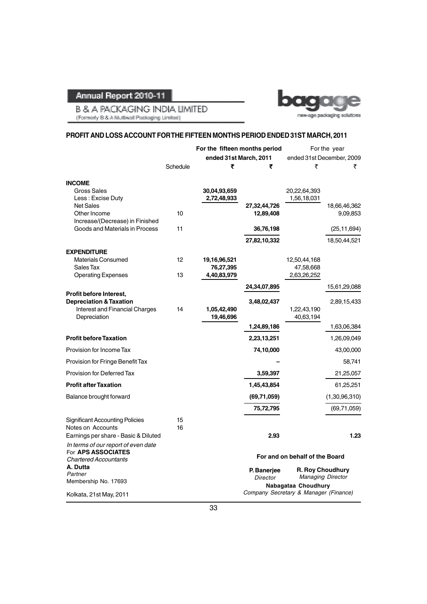**B & A PACKAGING INDIA LIMITED** (Formerly B & A Muttiwall Packaging Limited)



#### **PROFIT AND LOSS ACCOUNT FOR THE FIFTEEN MONTHS PERIOD ENDED 31ST MARCH, 2011**

|                                                           |          | For the fifteen months period |                                       | For the year                   |                           |  |
|-----------------------------------------------------------|----------|-------------------------------|---------------------------------------|--------------------------------|---------------------------|--|
|                                                           |          | ended 31st March, 2011        |                                       |                                | ended 31st December, 2009 |  |
|                                                           | Schedule | ₹                             | ₹                                     | ₹                              | ₹                         |  |
| <b>INCOME</b>                                             |          |                               |                                       |                                |                           |  |
| <b>Gross Sales</b>                                        |          | 30,04,93,659                  |                                       | 20,22,64,393                   |                           |  |
| Less: Excise Duty<br><b>Net Sales</b>                     |          | 2,72,48,933                   | 27,32,44,726                          | 1,56,18,031                    | 18,66,46,362              |  |
| Other Income                                              | 10       |                               | 12,89,408                             |                                | 9,09,853                  |  |
| Increase/(Decrease) in Finished                           |          |                               |                                       |                                |                           |  |
| Goods and Materials in Process                            | 11       |                               | 36,76,198                             |                                | (25, 11, 694)             |  |
|                                                           |          |                               | 27,82,10,332                          |                                | 18,50,44,521              |  |
| <b>EXPENDITURE</b>                                        |          |                               |                                       |                                |                           |  |
| <b>Materials Consumed</b>                                 | 12       | 19,16,96,521                  |                                       | 12,50,44,168                   |                           |  |
| Sales Tax<br><b>Operating Expenses</b>                    | 13       | 76,27,395<br>4,40,83,979      |                                       | 47,58,668<br>2,63,26,252       |                           |  |
|                                                           |          |                               |                                       |                                |                           |  |
| Profit before Interest,                                   |          |                               | 24,34,07,895                          |                                | 15,61,29,088              |  |
| <b>Depreciation &amp; Taxation</b>                        |          |                               | 3,48,02,437                           |                                | 2,89,15,433               |  |
| Interest and Financial Charges                            | 14       | 1,05,42,490                   |                                       | 1,22,43,190                    |                           |  |
| Depreciation                                              |          | 19,46,696                     |                                       | 40,63,194                      |                           |  |
|                                                           |          |                               | 1,24,89,186                           |                                | 1,63,06,384               |  |
| <b>Profit before Taxation</b>                             |          |                               | 2,23,13,251                           |                                | 1,26,09,049               |  |
| Provision for Income Tax                                  |          |                               | 74,10,000                             |                                | 43,00,000                 |  |
| Provision for Fringe Benefit Tax                          |          |                               |                                       |                                | 58,741                    |  |
| Provision for Deferred Tax                                |          |                               | 3,59,397                              |                                | 21,25,057                 |  |
| <b>Profit after Taxation</b>                              |          |                               | 1,45,43,854                           |                                | 61,25,251                 |  |
| Balance brought forward                                   |          |                               | (69, 71, 059)                         |                                | (1,30,96,310)             |  |
|                                                           |          |                               | 75,72,795                             |                                | (69, 71, 059)             |  |
| <b>Significant Accounting Policies</b>                    | 15       |                               |                                       |                                |                           |  |
| Notes on Accounts                                         | 16       |                               | 2.93                                  |                                | 1.23                      |  |
| Earnings per share - Basic & Diluted                      |          |                               |                                       |                                |                           |  |
| In terms of our report of even date<br>For APS ASSOCIATES |          |                               |                                       |                                |                           |  |
| <b>Chartered Accountants</b>                              |          |                               |                                       | For and on behalf of the Board |                           |  |
| A. Dutta<br>Partner                                       |          |                               | P. Banerjee                           | <b>R. Roy Choudhury</b>        |                           |  |
| Membership No. 17693                                      |          |                               | <b>Director</b>                       | Nabagataa Choudhury            | <b>Managing Director</b>  |  |
| Kolkata, 21st May, 2011                                   |          |                               | Company Secretary & Manager (Finance) |                                |                           |  |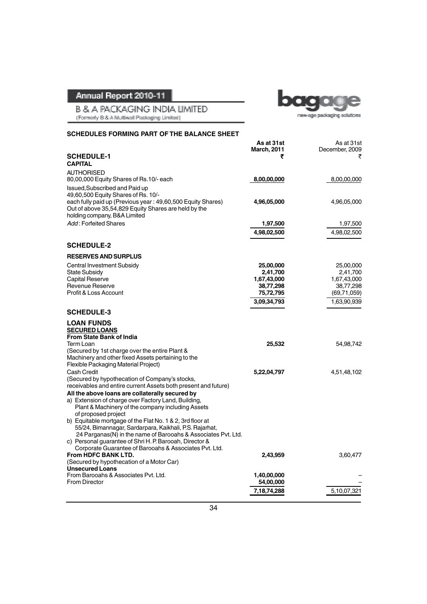

**B & A PACKAGING INDIA LIMITED** (Formerly B & A Mutliwall Packaging Limited)

#### **SCHEDULES FORMING PART OF THE BALANCE SHEET**

|                                                                                                                                                     | As at 31st              | As at 31st                 |
|-----------------------------------------------------------------------------------------------------------------------------------------------------|-------------------------|----------------------------|
| <b>SCHEDULE-1</b>                                                                                                                                   | <b>March, 2011</b><br>₹ | December, 2009             |
| <b>CAPITAL</b>                                                                                                                                      |                         |                            |
| <b>AUTHORISED</b>                                                                                                                                   |                         |                            |
| 80,00,000 Equity Shares of Rs.10/- each                                                                                                             | 8,00,00,000             | 8,00,00,000                |
| Issued, Subscribed and Paid up<br>49,60,500 Equity Shares of Rs. 10/-                                                                               |                         |                            |
| each fully paid up (Previous year: 49,60,500 Equity Shares)<br>Out of above 35,54,829 Equity Shares are held by the<br>holding company, B&A Limited | 4,96,05,000             | 4,96,05,000                |
| Add: Forfeited Shares                                                                                                                               | 1,97,500                | 1,97,500                   |
|                                                                                                                                                     | 4,98,02,500             | 4,98,02,500                |
| <b>SCHEDULE-2</b>                                                                                                                                   |                         |                            |
| <b>RESERVES AND SURPLUS</b>                                                                                                                         |                         |                            |
| <b>Central Investment Subsidy</b>                                                                                                                   | 25,00,000               | 25,00,000                  |
| <b>State Subsidy</b>                                                                                                                                | 2,41,700                | 2,41,700                   |
| <b>Capital Reserve</b>                                                                                                                              | 1,67,43,000             | 1,67,43,000                |
| <b>Revenue Reserve</b><br>Profit & Loss Account                                                                                                     | 38,77,298<br>75,72,795  | 38,77,298<br>(69, 71, 059) |
|                                                                                                                                                     | 3,09,34,793             | 1,63,90,939                |
| <b>SCHEDULE-3</b>                                                                                                                                   |                         |                            |
| <b>LOAN FUNDS</b>                                                                                                                                   |                         |                            |
| <b>SECURED LOANS</b>                                                                                                                                |                         |                            |
| <b>From State Bank of India</b>                                                                                                                     |                         |                            |
| Term Loan<br>(Secured by 1st charge over the entire Plant &                                                                                         | 25,532                  | 54,98,742                  |
| Machinery and other fixed Assets pertaining to the                                                                                                  |                         |                            |
| Flexible Packaging Material Project)                                                                                                                |                         |                            |
| Cash Credit                                                                                                                                         | 5,22,04,797             | 4,51,48,102                |
| (Secured by hypothecation of Company's stocks,<br>receivables and entire current Assets both present and future)                                    |                         |                            |
| All the above loans are collaterally secured by                                                                                                     |                         |                            |
| a) Extension of charge over Factory Land, Building,<br>Plant & Machinery of the company including Assets                                            |                         |                            |
| of proposed project<br>b) Equitable mortgage of the Flat No. 1 & 2, 3rd floor at                                                                    |                         |                            |
| 55/24, Bimannagar, Sardarpara, Kaikhali, P.S. Rajarhat,                                                                                             |                         |                            |
| 24 Parganas(N) in the name of Barooahs & Associates Pvt. Ltd.                                                                                       |                         |                            |
| c) Personal guarantee of Shri H. P. Barooah, Director &                                                                                             |                         |                            |
| Corporate Guarantee of Barooahs & Associates Pvt. Ltd.                                                                                              |                         |                            |
| <b>From HDFC BANK LTD.</b><br>(Secured by hypothecation of a Motor Car)                                                                             | 2,43,959                | 3,60,477                   |
| <b>Unsecured Loans</b>                                                                                                                              |                         |                            |
| From Barooahs & Associates Pyt. Ltd.                                                                                                                | 1,40,00,000             |                            |
| <b>From Director</b>                                                                                                                                | 54,00,000               |                            |
|                                                                                                                                                     | 7,18,74,288             | 5,10,07,321                |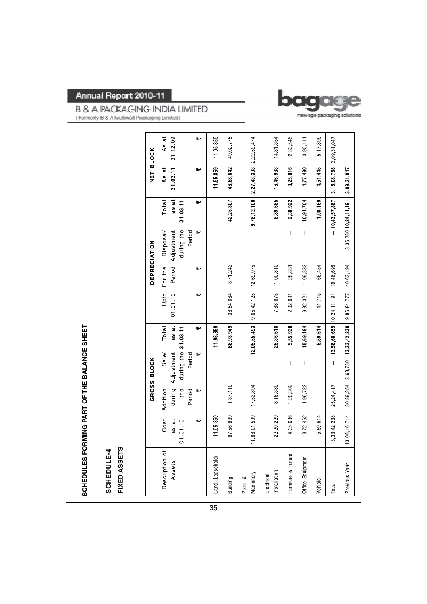

**B & A PACKAGING INDIA LIMITED** (Formerly B & A Multiwall Packaging Limited)

ŕ

|                     | As at     | 31.12.09             |                     |        | ₩ | 11,95,859                | 49,02,775                                                                                                                                                                                                                                                                                                                                                                                                      |                             | 14,31,354                                                                                                                                                                                                                                                                                                                                                                        | 2,33,545                                                                                                                                                                                                                                                                                                                                                                                                       | 3,90,141                                                                                                                                                                                                                                                                                                                                                                         | 5,17,899                                                                                                                                                                                                                                                                                                                                                                                                       |                             |                                            |  |
|---------------------|-----------|----------------------|---------------------|--------|---|--------------------------|----------------------------------------------------------------------------------------------------------------------------------------------------------------------------------------------------------------------------------------------------------------------------------------------------------------------------------------------------------------------------------------------------------------|-----------------------------|----------------------------------------------------------------------------------------------------------------------------------------------------------------------------------------------------------------------------------------------------------------------------------------------------------------------------------------------------------------------------------|----------------------------------------------------------------------------------------------------------------------------------------------------------------------------------------------------------------------------------------------------------------------------------------------------------------------------------------------------------------------------------------------------------------|----------------------------------------------------------------------------------------------------------------------------------------------------------------------------------------------------------------------------------------------------------------------------------------------------------------------------------------------------------------------------------|----------------------------------------------------------------------------------------------------------------------------------------------------------------------------------------------------------------------------------------------------------------------------------------------------------------------------------------------------------------------------------------------------------------|-----------------------------|--------------------------------------------|--|
| NET BLOCK           | As at     | 31.03.11             |                     |        |   | 11,95,859                | 46,68,642                                                                                                                                                                                                                                                                                                                                                                                                      | $2,27,43,393$ $2,22,59,474$ | 16,46,933                                                                                                                                                                                                                                                                                                                                                                        | 3,25,016                                                                                                                                                                                                                                                                                                                                                                                                       | 4,77,480                                                                                                                                                                                                                                                                                                                                                                         | 4,51,445                                                                                                                                                                                                                                                                                                                                                                                                       | $3,15,08,768$ 3,09,31,047   | 3,09,31,047                                |  |
|                     | Total     | as at                | 31.03.11            |        | ⋫ | $\overline{1}$           | 42,25,307                                                                                                                                                                                                                                                                                                                                                                                                      | 9,78,12,100                 | 8,89,685                                                                                                                                                                                                                                                                                                                                                                         | 2,30,922                                                                                                                                                                                                                                                                                                                                                                                                       | 10,91,704                                                                                                                                                                                                                                                                                                                                                                        | 1,08,169                                                                                                                                                                                                                                                                                                                                                                                                       | $-10,43,57,887$             | $3,36,780$ 10,24,11,191                    |  |
|                     | Disposal/ | Adjustment           | during the          | Period | ₩ | I                        | $\begin{array}{c} \rule{0pt}{2ex} \rule{0pt}{2ex} \rule{0pt}{2ex} \rule{0pt}{2ex} \rule{0pt}{2ex} \rule{0pt}{2ex} \rule{0pt}{2ex} \rule{0pt}{2ex} \rule{0pt}{2ex} \rule{0pt}{2ex} \rule{0pt}{2ex} \rule{0pt}{2ex} \rule{0pt}{2ex} \rule{0pt}{2ex} \rule{0pt}{2ex} \rule{0pt}{2ex} \rule{0pt}{2ex} \rule{0pt}{2ex} \rule{0pt}{2ex} \rule{0pt}{2ex} \rule{0pt}{2ex} \rule{0pt}{2ex} \rule{0pt}{2ex} \rule{0pt}{$ | $\overline{\phantom{a}}$    | $\begin{array}{c} \end{array}$                                                                                                                                                                                                                                                                                                                                                   | $\begin{array}{c} \rule{0pt}{2ex} \rule{0pt}{2ex} \rule{0pt}{2ex} \rule{0pt}{2ex} \rule{0pt}{2ex} \rule{0pt}{2ex} \rule{0pt}{2ex} \rule{0pt}{2ex} \rule{0pt}{2ex} \rule{0pt}{2ex} \rule{0pt}{2ex} \rule{0pt}{2ex} \rule{0pt}{2ex} \rule{0pt}{2ex} \rule{0pt}{2ex} \rule{0pt}{2ex} \rule{0pt}{2ex} \rule{0pt}{2ex} \rule{0pt}{2ex} \rule{0pt}{2ex} \rule{0pt}{2ex} \rule{0pt}{2ex} \rule{0pt}{2ex} \rule{0pt}{$ | $\mid$                                                                                                                                                                                                                                                                                                                                                                           | $\begin{array}{c} \rule{0pt}{2ex} \rule{0pt}{2ex} \rule{0pt}{2ex} \rule{0pt}{2ex} \rule{0pt}{2ex} \rule{0pt}{2ex} \rule{0pt}{2ex} \rule{0pt}{2ex} \rule{0pt}{2ex} \rule{0pt}{2ex} \rule{0pt}{2ex} \rule{0pt}{2ex} \rule{0pt}{2ex} \rule{0pt}{2ex} \rule{0pt}{2ex} \rule{0pt}{2ex} \rule{0pt}{2ex} \rule{0pt}{2ex} \rule{0pt}{2ex} \rule{0pt}{2ex} \rule{0pt}{2ex} \rule{0pt}{2ex} \rule{0pt}{2ex} \rule{0pt}{$ |                             |                                            |  |
| <b>DEPRECIATION</b> | For the   | Period               |                     |        | ₩ | I                        | 3,71,243                                                                                                                                                                                                                                                                                                                                                                                                       | 12,69,975                   | 1,00,810                                                                                                                                                                                                                                                                                                                                                                         | 28,831                                                                                                                                                                                                                                                                                                                                                                                                         | 1,09,383                                                                                                                                                                                                                                                                                                                                                                         | 66,454                                                                                                                                                                                                                                                                                                                                                                                                         | 19,46,696                   |                                            |  |
|                     | Upto      | 01.01.10             |                     |        | ₩ | $\overline{\phantom{a}}$ | 38,54,064                                                                                                                                                                                                                                                                                                                                                                                                      | 9,65,42,125                 | 7,88,875                                                                                                                                                                                                                                                                                                                                                                         | 2,02,091                                                                                                                                                                                                                                                                                                                                                                                                       | 9,82,321                                                                                                                                                                                                                                                                                                                                                                         | 41,715                                                                                                                                                                                                                                                                                                                                                                                                         | 13,58,66,655   10,24,11,191 | 9,86,84,777 40,63,194                      |  |
|                     | Total     | as at                |                     |        | ⋫ | 11,95,859                | 88,93,949                                                                                                                                                                                                                                                                                                                                                                                                      | 12,05,55,493                | 25,36,618                                                                                                                                                                                                                                                                                                                                                                        | 5,55,938                                                                                                                                                                                                                                                                                                                                                                                                       | 15,69,184                                                                                                                                                                                                                                                                                                                                                                        | 5,59,614                                                                                                                                                                                                                                                                                                                                                                                                       |                             |                                            |  |
|                     |           |                      |                     |        |   |                          |                                                                                                                                                                                                                                                                                                                                                                                                                |                             |                                                                                                                                                                                                                                                                                                                                                                                  |                                                                                                                                                                                                                                                                                                                                                                                                                |                                                                                                                                                                                                                                                                                                                                                                                  |                                                                                                                                                                                                                                                                                                                                                                                                                |                             |                                            |  |
|                     | Sale/     |                      | during the 31.03.11 | Period | ₩ | $\overline{1}$           | $\begin{array}{c} \rule{0pt}{2.5ex} \rule{0pt}{2.5ex} \rule{0pt}{2.5ex} \rule{0pt}{2.5ex} \rule{0pt}{2.5ex} \rule{0pt}{2.5ex} \rule{0pt}{2.5ex} \rule{0pt}{2.5ex} \rule{0pt}{2.5ex} \rule{0pt}{2.5ex} \rule{0pt}{2.5ex} \rule{0pt}{2.5ex} \rule{0pt}{2.5ex} \rule{0pt}{2.5ex} \rule{0pt}{2.5ex} \rule{0pt}{2.5ex} \rule{0pt}{2.5ex} \rule{0pt}{2.5ex} \rule{0pt}{2.5ex} \rule{0$                               | $\overline{1}$              | $\begin{array}{c} \rule{0pt}{2.5ex} \rule{0pt}{2.5ex} \rule{0pt}{2.5ex} \rule{0pt}{2.5ex} \rule{0pt}{2.5ex} \rule{0pt}{2.5ex} \rule{0pt}{2.5ex} \rule{0pt}{2.5ex} \rule{0pt}{2.5ex} \rule{0pt}{2.5ex} \rule{0pt}{2.5ex} \rule{0pt}{2.5ex} \rule{0pt}{2.5ex} \rule{0pt}{2.5ex} \rule{0pt}{2.5ex} \rule{0pt}{2.5ex} \rule{0pt}{2.5ex} \rule{0pt}{2.5ex} \rule{0pt}{2.5ex} \rule{0$ | $\begin{array}{c} \rule{0pt}{2.5ex} \rule{0pt}{2.5ex} \rule{0pt}{2.5ex} \rule{0pt}{2.5ex} \rule{0pt}{2.5ex} \rule{0pt}{2.5ex} \rule{0pt}{2.5ex} \rule{0pt}{2.5ex} \rule{0pt}{2.5ex} \rule{0pt}{2.5ex} \rule{0pt}{2.5ex} \rule{0pt}{2.5ex} \rule{0pt}{2.5ex} \rule{0pt}{2.5ex} \rule{0pt}{2.5ex} \rule{0pt}{2.5ex} \rule{0pt}{2.5ex} \rule{0pt}{2.5ex} \rule{0pt}{2.5ex} \rule{0$                               | $\begin{array}{c} \rule{0pt}{2.5ex} \rule{0pt}{2.5ex} \rule{0pt}{2.5ex} \rule{0pt}{2.5ex} \rule{0pt}{2.5ex} \rule{0pt}{2.5ex} \rule{0pt}{2.5ex} \rule{0pt}{2.5ex} \rule{0pt}{2.5ex} \rule{0pt}{2.5ex} \rule{0pt}{2.5ex} \rule{0pt}{2.5ex} \rule{0pt}{2.5ex} \rule{0pt}{2.5ex} \rule{0pt}{2.5ex} \rule{0pt}{2.5ex} \rule{0pt}{2.5ex} \rule{0pt}{2.5ex} \rule{0pt}{2.5ex} \rule{0$ | $\overline{1}$                                                                                                                                                                                                                                                                                                                                                                                                 | $\overline{1}$              |                                            |  |
| GROSS BLOCK         | Addition  | Adjustment<br>during | the                 | Period | ₩ | I                        | 1,37,110                                                                                                                                                                                                                                                                                                                                                                                                       | 17,53,894                   | 3,16,389                                                                                                                                                                                                                                                                                                                                                                         | 1,20,302                                                                                                                                                                                                                                                                                                                                                                                                       | 1,96,722                                                                                                                                                                                                                                                                                                                                                                         | $\begin{array}{c} \rule{0pt}{2ex} \rule{0pt}{2ex} \rule{0pt}{2ex} \rule{0pt}{2ex} \rule{0pt}{2ex} \rule{0pt}{2ex} \rule{0pt}{2ex} \rule{0pt}{2ex} \rule{0pt}{2ex} \rule{0pt}{2ex} \rule{0pt}{2ex} \rule{0pt}{2ex} \rule{0pt}{2ex} \rule{0pt}{2ex} \rule{0pt}{2ex} \rule{0pt}{2ex} \rule{0pt}{2ex} \rule{0pt}{2ex} \rule{0pt}{2ex} \rule{0pt}{2ex} \rule{0pt}{2ex} \rule{0pt}{2ex} \rule{0pt}{2ex} \rule{0pt}{$ | 25,24,417                   | $30,89,254$ $3,63,730$ <b>13,33,42,238</b> |  |
|                     | Cost      | as at                | 01.01.10            |        | ₩ | 11,95,859                | 87,56,839                                                                                                                                                                                                                                                                                                                                                                                                      | 11,88,01,599                | 22,20,229                                                                                                                                                                                                                                                                                                                                                                        | 4,35,636                                                                                                                                                                                                                                                                                                                                                                                                       | 13,72,462                                                                                                                                                                                                                                                                                                                                                                        | 5,59,614                                                                                                                                                                                                                                                                                                                                                                                                       | 13, 33, 42, 238             | 13,06,16,714                               |  |

SCHEDULES FORMING PART OF THE BALANCE SHEET **SCHEDULES FORMING PART OF THE BALANCE SHEET**

FIXED ASSETS SCHEDULE-4 **FIXED ASSETS SCHEDULE-4**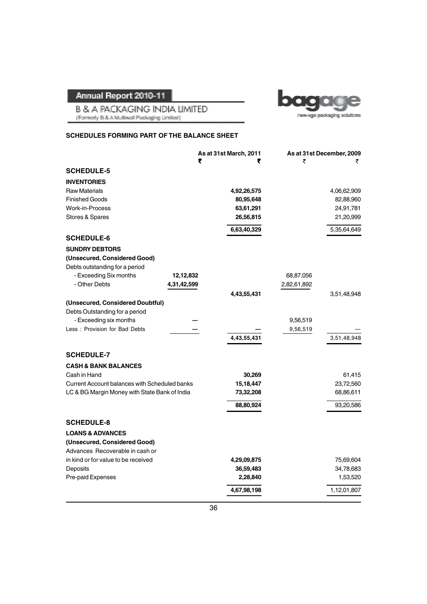**B & A PACKAGING INDIA LIMITED** (Formerly B & A Muttiwall Packaging Limited)



#### **SCHEDULES FORMING PART OF THE BALANCE SHEET**

|                                                         |             | As at 31st March, 2011 |             | As at 31st December, 2009 |
|---------------------------------------------------------|-------------|------------------------|-------------|---------------------------|
|                                                         | ₹           | ₹                      | ₹           |                           |
| <b>SCHEDULE-5</b>                                       |             |                        |             |                           |
| <b>INVENTORIES</b>                                      |             |                        |             |                           |
| <b>Raw Materials</b>                                    |             | 4,92,26,575            |             | 4,06,62,909               |
| <b>Finished Goods</b>                                   |             | 80,95,648              |             | 82,88,960                 |
| Work-in-Process                                         |             | 63,61,291              |             | 24,91,781                 |
| Stores & Spares                                         |             | 26,56,815              |             | 21,20,999                 |
|                                                         |             | 6,63,40,329            |             | 5,35,64,649               |
| <b>SCHEDULE-6</b>                                       |             |                        |             |                           |
| <b>SUNDRY DEBTORS</b>                                   |             |                        |             |                           |
| (Unsecured, Considered Good)                            |             |                        |             |                           |
| Debts outstanding for a period                          |             |                        |             |                           |
| - Exceeding Six months                                  | 12,12,832   |                        | 68,87,056   |                           |
| - Other Debts                                           | 4,31,42,599 |                        | 2,82,61,892 |                           |
|                                                         |             | 4,43,55,431            |             | 3,51,48,948               |
| (Unsecured, Considered Doubtful)                        |             |                        |             |                           |
| Debts Outstanding for a period                          |             |                        |             |                           |
| - Exceeding six months<br>Less: Provision for Bad Debts |             |                        | 9,56,519    |                           |
|                                                         |             | 4,43,55,431            | 9,56,519    | 3,51,48,948               |
|                                                         |             |                        |             |                           |
| <b>SCHEDULE-7</b>                                       |             |                        |             |                           |
| <b>CASH &amp; BANK BALANCES</b>                         |             |                        |             |                           |
| Cash in Hand                                            |             | 30,269                 |             | 61,415                    |
| Current Account balances with Scheduled banks           |             | 15,18,447              |             | 23,72,560                 |
| LC & BG Margin Money with State Bank of India           |             | 73,32,208              |             | 68,86,611                 |
|                                                         |             | 88,80,924              |             | 93,20,586                 |
| <b>SCHEDULE-8</b>                                       |             |                        |             |                           |
| <b>LOANS &amp; ADVANCES</b>                             |             |                        |             |                           |
| (Unsecured, Considered Good)                            |             |                        |             |                           |
| Advances Recoverable in cash or                         |             |                        |             |                           |
| in kind or for value to be received                     |             | 4,29,09,875            |             | 75,69,604                 |
| Deposits                                                |             | 36,59,483              |             | 34,78,683                 |
| Pre-paid Expenses                                       |             | 2,28,840               |             | 1,53,520                  |
|                                                         |             | 4,67,98,198            |             | 1,12,01,807               |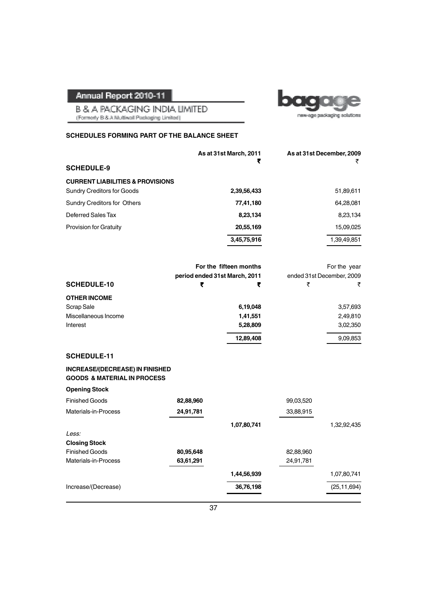**B & A PACKAGING INDIA LIMITED** (Formerly B & A Multiwall Packaging Limited)

#### **SCHEDULES FORMING PART OF THE BALANCE SHEET**

| <b>As at 31st March, 2011</b> | As at 31st December, 2009 |
|-------------------------------|---------------------------|
|                               |                           |
|                               |                           |
| 2,39,56,433                   | 51,89,611                 |
| 77,41,180                     | 64,28,081                 |
| 8,23,134                      | 8,23,134                  |
| 20,55,169                     | 15,09,025                 |
| 3,45,75,916                   | 1,39,49,851               |
|                               | ₹                         |

new-age packaging solutions

|                      | For the fifteen months        |   | For the year              |
|----------------------|-------------------------------|---|---------------------------|
|                      | period ended 31st March, 2011 |   | ended 31st December, 2009 |
| <b>SCHEDULE-10</b>   |                               | ₹ | ₹                         |
| <b>OTHER INCOME</b>  |                               |   |                           |
| Scrap Sale           | 6,19,048                      |   | 3,57,693                  |
| Miscellaneous Income | 1,41,551                      |   | 2,49,810                  |
| Interest             | 5,28,809                      |   | 3,02,350                  |
|                      | 12,89,408                     |   | 9,09,853                  |

#### **SCHEDULE-11**

#### **INCREASE/(DECREASE) IN FINISHED GOODS & MATERIAL IN PROCESS**

**Opening Stock** Finished Goods **82,88,960** 99,03,520 Materials-in-Process **24,91,781** 33,88,915 **1,07,80,741** 1,32,92,435 Less: **Closing Stock** Finished Goods **80,95,648** 82,88,960 Materials-in-Process **63,61,291** 24,91,781 **1,44,56,939** 1,07,80,741 Increase/(Decrease) **36,76,198** (25,11,694)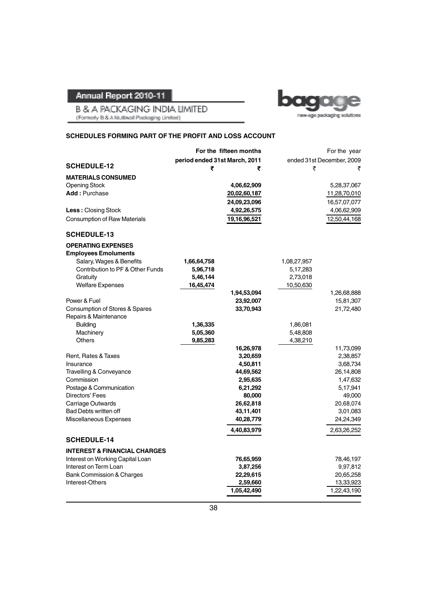ba new-age packaging solutions

**B & A PACKAGING INDIA LIMITED** (Formerly B & A Multiwall Packaging Limited)

#### **SCHEDULES FORMING PART OF THE PROFIT AND LOSS ACCOUNT**

|                                         |                               | For the fifteen months |             | For the year              |
|-----------------------------------------|-------------------------------|------------------------|-------------|---------------------------|
|                                         | period ended 31st March, 2011 |                        |             | ended 31st December, 2009 |
| <b>SCHEDULE-12</b>                      | ₹                             | ₹                      | ₹           | ₹                         |
| <b>MATERIALS CONSUMED</b>               |                               |                        |             |                           |
| <b>Opening Stock</b>                    |                               | 4,06,62,909            |             | 5,28,37,067               |
| Add: Purchase                           |                               | 20,02,60,187           |             | 11,28,70,010              |
|                                         |                               | 24,09,23,096           |             | 16,57,07,077              |
| Less: Closing Stock                     |                               | 4,92,26,575            |             | 4,06,62,909               |
| Consumption of Raw Materials            |                               | 19,16,96,521           |             | 12,50,44,168              |
|                                         |                               |                        |             |                           |
| <b>SCHEDULE-13</b>                      |                               |                        |             |                           |
| <b>OPERATING EXPENSES</b>               |                               |                        |             |                           |
| <b>Employees Emoluments</b>             |                               |                        |             |                           |
| Salary, Wages & Benefits                | 1,66,64,758                   |                        | 1,08,27,957 |                           |
| Contribution to PF & Other Funds        | 5,96,718                      |                        | 5,17,283    |                           |
| Gratuity                                | 5,46,144                      |                        | 2,73,018    |                           |
| <b>Welfare Expenses</b>                 | 16,45,474                     |                        | 10,50,630   |                           |
|                                         |                               | 1,94,53,094            |             | 1,26,68,888               |
| Power & Fuel                            |                               | 23,92,007              |             | 15,81,307                 |
| Consumption of Stores & Spares          |                               | 33,70,943              |             | 21,72,480                 |
| Repairs & Maintenance                   |                               |                        |             |                           |
| <b>Building</b>                         | 1,36,335                      |                        | 1,86,081    |                           |
| Machinery                               | 5,05,360                      |                        | 5,48,808    |                           |
| <b>Others</b>                           | 9,85,283                      |                        | 4,38,210    |                           |
|                                         |                               | 16,26,978              |             | 11,73,099                 |
| Rent, Rates & Taxes                     |                               | 3,20,659               |             | 2,38,857                  |
| Insurance                               |                               | 4,50,811               |             | 3,68,734                  |
| Travelling & Conveyance                 |                               | 44,69,562              |             | 26,14,808                 |
| Commission                              |                               | 2,95,635               |             | 1,47,632                  |
| Postage & Communication                 |                               | 6,21,292               |             | 5,17,941                  |
| Directors' Fees                         |                               | 80,000                 |             | 49,000                    |
| Carriage Outwards                       |                               | 26,62,818              |             | 20,68,074                 |
| <b>Bad Debts written off</b>            |                               | 43,11,401              |             | 3,01,083                  |
| Miscellaneous Expenses                  |                               | 40,28,779              |             | 24,24,349                 |
|                                         |                               | 4,40,83,979            |             | 2,63,26,252               |
| <b>SCHEDULE-14</b>                      |                               |                        |             |                           |
| <b>INTEREST &amp; FINANCIAL CHARGES</b> |                               |                        |             |                           |
| Interest on Working Capital Loan        |                               | 76,65,959              |             | 78,46,197                 |
| Interest on Term Loan                   |                               | 3,87,256               |             | 9,97,812                  |
| <b>Bank Commission &amp; Charges</b>    |                               | 22,29,615              |             | 20,65,258                 |
| Interest-Others                         |                               | 2,59,660               |             | 13,33,923                 |
|                                         |                               | 1,05,42,490            |             | 1,22,43,190               |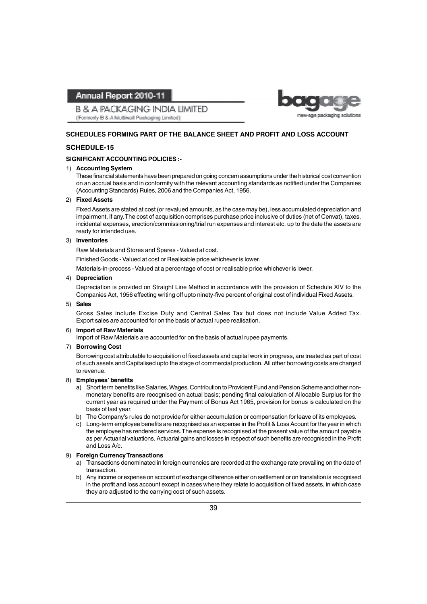**B & A PACKAGING INDIA LIMITED** (Formerly B & A.Mutliwall Packaging Limited)



#### **SCHEDULES FORMING PART OF THE BALANCE SHEET AND PROFIT AND LOSS ACCOUNT**

#### **SCHEDULE-15**

#### **SIGNIFICANT ACCOUNTING POLICIES :-**

#### 1) **Accounting System**

These financial statements have been prepared on going concern assumptions under the historical cost convention on an accrual basis and in conformity with the relevant accounting standards as notified under the Companies (Accounting Standards) Rules, 2006 and the Companies Act, 1956.

#### 2) **Fixed Assets**

Fixed Assets are stated at cost (or revalued amounts, as the case may be), less accumulated depreciation and impairment, if any. The cost of acquisition comprises purchase price inclusive of duties (net of Cenvat), taxes, incidental expenses, erection/commissioning/trial run expenses and interest etc. up to the date the assets are ready for intended use.

#### 3) **Inventories**

Raw Materials and Stores and Spares - Valued at cost.

Finished Goods - Valued at cost or Realisable price whichever is lower.

Materials-in-process - Valued at a percentage of cost or realisable price whichever is lower.

#### 4) **Depreciation**

Depreciation is provided on Straight Line Method in accordance with the provision of Schedule XIV to the Companies Act, 1956 effecting writing off upto ninety-five percent of original cost of individual Fixed Assets.

#### 5) **Sales**

Gross Sales include Excise Duty and Central Sales Tax but does not include Value Added Tax. Export sales are accounted for on the basis of actual rupee realisation.

#### 6) **Import of Raw Materials**

Import of Raw Materials are accounted for on the basis of actual rupee payments.

#### 7) **Borrowing Cost**

Borrowing cost attributable to acquisition of fixed assets and capital work in progress, are treated as part of cost of such assets and Capitalised upto the stage of commercial production. All other borrowing costs are charged to revenue.

#### 8) **Employees' benefits**

- a) Short term benefits like Salaries, Wages, Contribution to Provident Fund and Pension Scheme and other nonmonetary benefits are recognised on actual basis; pending final calculation of Allocable Surplus for the current year as required under the Payment of Bonus Act 1965, provision for bonus is calculated on the basis of last year.
- b) The Company's rules do not provide for either accumulation or compensation for leave of its employees.
- c) Long-term employee benefits are recognised as an expense in the Profit & Loss Acount for the year in which the employee has rendered services. The expense is recognised at the present value of the amount payable as per Actuarial valuations. Actuarial gains and losses in respect of such benefits are recognised in the Profit and Loss A/c.

#### 9) **Foreign Currency Transactions**

- a) Transactions denominated in foreign currencies are recorded at the exchange rate prevailing on the date of transaction.
- b) Any income or expense on account of exchange difference either on settlement or on translation is recognised in the profit and loss account except in cases where they relate to acquisition of fixed assets, in which case they are adjusted to the carrying cost of such assets.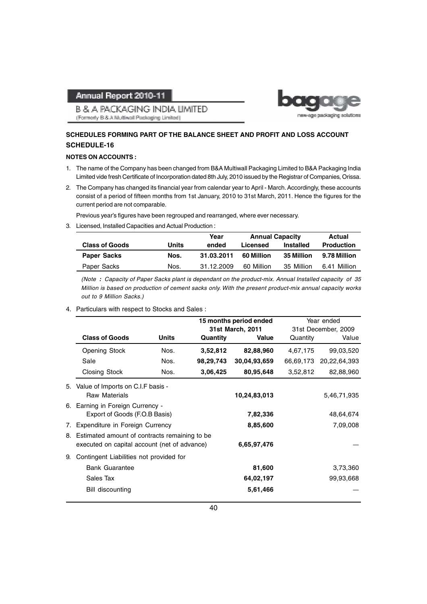age packaging solu

B & A PACKAGING INDIA LIMITED (Formerly B & A Multiwall Packaging Limited)

### **SCHEDULES FORMING PART OF THE BALANCE SHEET AND PROFIT AND LOSS ACCOUNT SCHEDULE-16**

#### **NOTES ON ACCOUNTS :**

- 1. The name of the Company has been changed from B&A Multiwall Packaging Limited to B&A Packaging India Limited vide fresh Certificate of Incorporation dated 8th July, 2010 issued by the Registrar of Companies, Orissa.
- 2. The Company has changed its financial year from calendar year to April March. Accordingly, these accounts consist of a period of fifteen months from 1st January, 2010 to 31st March, 2011. Hence the figures for the current period are not comparable.

Previous year's figures have been regrouped and rearranged, where ever necessary.

3. Licensed, Installed Capacities and Actual Production :

|                       |       | Year       | <b>Annual Capacity</b> |            | Actual            |
|-----------------------|-------|------------|------------------------|------------|-------------------|
| <b>Class of Goods</b> | Units | ended      | Licensed               | Installed  | <b>Production</b> |
| <b>Paper Sacks</b>    | Nos.  | 31.03.2011 | 60 Million             | 35 Million | 9.78 Million      |
| Paper Sacks           | Nos.  | 31.12.2009 | 60 Million             | 35 Million | 6.41 Million      |

(Note *:* Capacity of Paper Sacks plant is dependant on the product-mix. Annual Installed capacity of 35 Million is based on production of cement sacks only. With the present product-mix annual capacity works out to 9 Million Sacks.)

#### 4. Particulars with respect to Stocks and Sales :

|    |                                                  |       |           | 15 months period ended |           | Year ended          |
|----|--------------------------------------------------|-------|-----------|------------------------|-----------|---------------------|
|    |                                                  |       |           | 31st March, 2011       |           | 31st December, 2009 |
|    | <b>Class of Goods</b>                            | Units | Quantity  | <b>Value</b>           | Quantity  | Value               |
|    | <b>Opening Stock</b>                             | Nos.  | 3,52,812  | 82,88,960              | 4,67,175  | 99,03,520           |
|    | Sale                                             | Nos.  | 98,29,743 | 30,04,93,659           | 66,69,173 | 20,22,64,393        |
|    | <b>Closing Stock</b>                             | Nos.  | 3,06,425  | 80,95,648              | 3,52,812  | 82,88,960           |
|    | 5. Value of Imports on C.I.F basis -             |       |           |                        |           |                     |
|    | <b>Raw Materials</b>                             |       |           | 10,24,83,013           |           | 5,46,71,935         |
|    | 6. Earning in Foreign Currency -                 |       |           |                        |           |                     |
|    | Export of Goods (F.O.B Basis)                    |       |           | 7,82,336               |           | 48,64,674           |
|    | 7. Expenditure in Foreign Currency               |       |           | 8,85,600               |           | 7,09,008            |
|    | 8. Estimated amount of contracts remaining to be |       |           |                        |           |                     |
|    | executed on capital account (net of advance)     |       |           | 6,65,97,476            |           |                     |
| 9. | Contingent Liabilities not provided for          |       |           |                        |           |                     |
|    | <b>Bank Guarantee</b>                            |       |           | 81,600                 |           | 3,73,360            |
|    | Sales Tax                                        |       |           | 64,02,197              |           | 99,93,668           |
|    | Bill discounting                                 |       |           | 5,61,466               |           |                     |
|    |                                                  |       |           |                        |           |                     |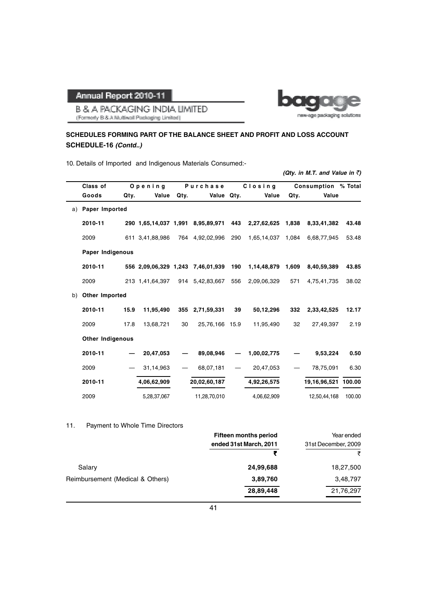bc new-age packaging solutions

*(Qty. in M.T. and Value in*  $\bar{z}$ )

**B & A PACKAGING INDIA LIMITED** (Formerly B & A Multiwall Packaging Limited)

### **SCHEDULES FORMING PART OF THE BALANCE SHEET AND PROFIT AND LOSS ACCOUNT SCHEDULE-16** *(Contd..)*

10. Details of Imported and Indigenous Materials Consumed:-

|    | Class of                |      | Opening         |      | Purchase                          |     | Closing     |       | Consumption % Total |        |
|----|-------------------------|------|-----------------|------|-----------------------------------|-----|-------------|-------|---------------------|--------|
|    | Goods                   | Qty. | Value           | Qty. | Value Qty.                        |     | Value       | Qty.  | Value               |        |
| a) | Paper Imported          |      |                 |      |                                   |     |             |       |                     |        |
|    | 2010-11                 |      |                 |      | 290 1,65,14,037 1,991 8,95,89,971 | 443 | 2,27,62,625 | 1,838 | 8,33,41,382         | 43.48  |
|    | 2009                    |      | 611 3,41,88,986 |      | 764 4,92,02,996                   | 290 | 1,65,14,037 | 1,084 | 6,68,77,945         | 53.48  |
|    | Paper Indigenous        |      |                 |      |                                   |     |             |       |                     |        |
|    | 2010-11                 |      |                 |      | 556 2,09,06,329 1,243 7,46,01,939 | 190 | 1,14,48,879 | 1,609 | 8,40,59,389         | 43.85  |
|    | 2009                    |      | 213 1,41,64,397 |      | 914 5.42,83,667                   | 556 | 2,09,06,329 | 571   | 4,75,41,735         | 38.02  |
| b) | Other Imported          |      |                 |      |                                   |     |             |       |                     |        |
|    | 2010-11                 | 15.9 | 11,95,490       | 355  | 2,71,59,331                       | 39  | 50,12,296   | 332   | 2,33,42,525         | 12.17  |
|    | 2009                    | 17.8 | 13.68.721       | 30   | 25.76.166 15.9                    |     | 11,95,490   | 32    | 27.49.397           | 2.19   |
|    | <b>Other Indigenous</b> |      |                 |      |                                   |     |             |       |                     |        |
|    | 2010-11                 |      | 20,47,053       |      | 89,08,946                         |     | 1,00,02,775 |       | 9,53,224            | 0.50   |
|    | 2009                    |      | 31,14,963       |      | 68.07.181                         |     | 20.47.053   |       | 78,75,091           | 6.30   |
|    | 2010-11                 |      | 4,06,62,909     |      | 20,02,60,187                      |     | 4,92,26,575 |       | 19,16,96,521        | 100.00 |
|    | 2009                    |      | 5,28,37,067     |      | 11,28,70,010                      |     | 4,06,62,909 |       | 12,50,44,168        | 100.00 |

#### 11. Payment to Whole Time Directors

|                                  | <b>Fifteen months period</b> | Year ended          |
|----------------------------------|------------------------------|---------------------|
|                                  | ended 31st March, 2011       | 31st December, 2009 |
|                                  |                              | ₹                   |
| Salary                           | 24,99,688                    | 18,27,500           |
| Reimbursement (Medical & Others) | 3,89,760                     | 3,48,797            |
|                                  | 28,89,448                    | 21,76,297           |
|                                  |                              |                     |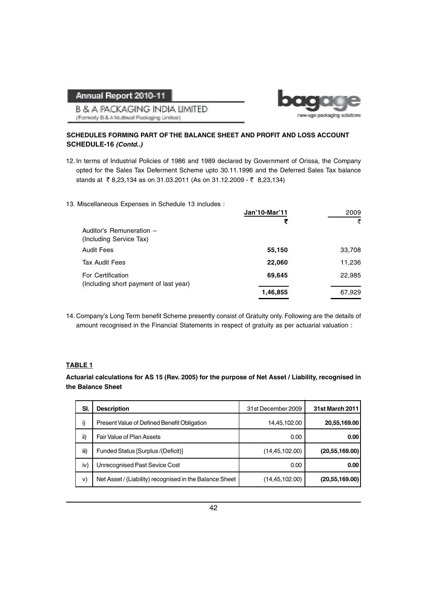age packaging solu

**B & A PACKAGING INDIA LIMITED** (Formerly B & A Multiwall Packaging Limited)

#### **SCHEDULES FORMING PART OF THE BALANCE SHEET AND PROFIT AND LOSS ACCOUNT SCHEDULE-16** *(Contd..)*

- 12. In terms of Industrial Policies of 1986 and 1989 declared by Government of Orissa, the Company opted for the Sales Tax Deferment Scheme upto 30.11.1996 and the Deferred Sales Tax balance stands at ₹8,23,134 as on 31.03.2011 (As on 31.12.2009 - ₹8,23,134)
- 13. Miscellaneous Expenses in Schedule 13 includes :

|                                                                    | Jan'10-Mar'11<br>₹ | 2009<br>₹ |
|--------------------------------------------------------------------|--------------------|-----------|
| Auditor's Remuneration -<br>(Including Service Tax)                |                    |           |
| <b>Audit Fees</b>                                                  | 55,150             | 33,708    |
| <b>Tax Audit Fees</b>                                              | 22,060             | 11,236    |
| <b>For Certification</b><br>(Including short payment of last year) | 69,645             | 22,985    |
|                                                                    | 1,46,855           | 67,929    |

14. Company's Long Term benefit Scheme presently consist of Gratuity only. Following are the details of amount recognised in the Financial Statements in respect of gratuity as per actuarial valuation :

#### **TABLE 1**

**Actuarial calculations for AS 15 (Rev. 2005) for the purpose of Net Asset / Liability, recognised in the Balance Sheet**

| SI.  | <b>Description</b>                                      | 31st December 2009 | <b>31st March 2011</b> |
|------|---------------------------------------------------------|--------------------|------------------------|
| i)   | Present Value of Defined Benefit Obligation             | 14,45,102.00       | 20,55,169.00           |
| ii)  | <b>Fair Value of Plan Assets</b>                        | 0.00               | 0.00                   |
| iii) | Funded Status [Surplus /(Deficit)]                      | (14, 45, 102.00)   | (20, 55, 169.00)       |
| iv)  | Unrecognised Past Sevice Cost                           | 0.00               | 0.00                   |
| V)   | Net Asset / (Liability) recognised in the Balance Sheet | (14, 45, 102.00)   | (20, 55, 169.00)       |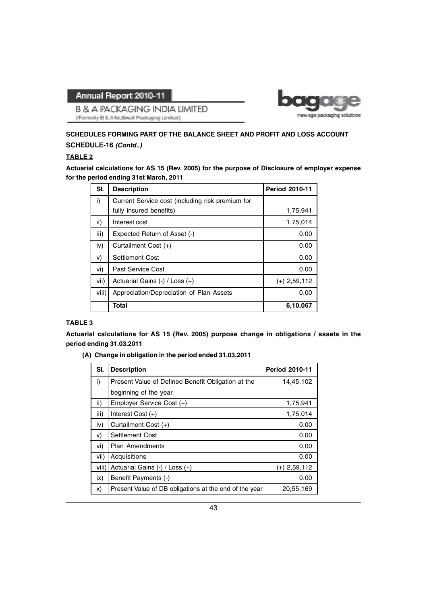

**B & A PACKAGING INDIA LIMITED** (Formerly B & A.Multiwall Packaging Limited)

### **SCHEDULES FORMING PART OF THE BALANCE SHEET AND PROFIT AND LOSS ACCOUNT SCHEDULE-16** *(Contd..)*

#### **TABLE 2**

**Actuarial calculations for AS 15 (Rev. 2005) for the purpose of Disclosure of employer expense for the period ending 31st March, 2011**

| SI.   | <b>Description</b>                               | <b>Period 2010-11</b> |
|-------|--------------------------------------------------|-----------------------|
| i)    | Current Service cost (including risk premium for |                       |
|       | fully insured benefits)                          | 1,75,941              |
| ii)   | Interest cost                                    | 1,75,014              |
| iii)  | Expected Return of Asset (-)                     | 0.00                  |
| iv)   | Curtailment Cost (+)                             | 0.00                  |
| V)    | Settlement Cost                                  | 0.00                  |
| vi)   | Past Service Cost                                | 0.00                  |
| vii)  | Actuarial Gains $(-)$ / Loss $(+)$               | $(+)$ 2,59,112        |
| viii) | Appreciation/Depreciation of Plan Assets         | 0.00                  |
|       | <b>Total</b>                                     | 6,10,067              |

#### **TABLE 3**

**Actuarial calculations for AS 15 (Rev. 2005) purpose change in obligations / assets in the period ending 31.03.2011**

**(A) Change in obligation in the period ended 31.03.2011**

| SI.   | <b>Description</b>                                     | <b>Period 2010-11</b> |
|-------|--------------------------------------------------------|-----------------------|
| i)    | Present Value of Defined Benefit Obligation at the     | 14,45,102             |
|       | beginning of the year                                  |                       |
| ii)   | Employer Service Cost (+)                              | 1,75,941              |
| iii)  | Interest Cost $(+)$                                    | 1,75,014              |
| iv)   | Curtailment Cost (+)                                   | 0.00                  |
| V)    | Settlement Cost                                        | 0.00                  |
| vi)   | <b>Plan Amendments</b>                                 | 0.00                  |
| vii)  | Acquisitions                                           | 0.00                  |
| viii) | Actuarial Gains $(-)$ / Loss $(+)$                     | $(+)$ 2,59,112        |
| ix)   | Benefit Payments (-)                                   | 0.00                  |
| X)    | Present Value of DB obligations at the end of the year | 20,55,169             |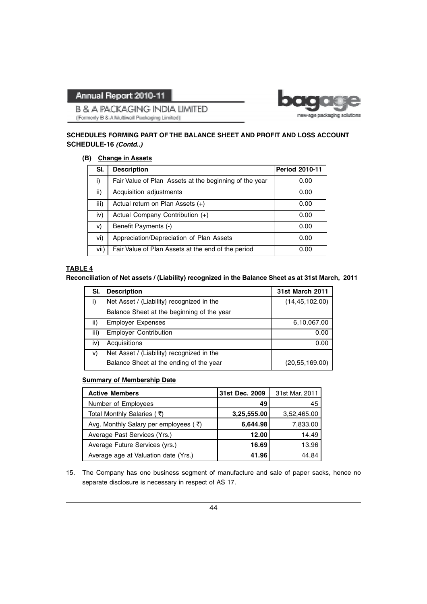

**B & A PACKAGING INDIA LIMITED** (Formerly B & A Multiwall Packaging Limited)

### **SCHEDULES FORMING PART OF THE BALANCE SHEET AND PROFIT AND LOSS ACCOUNT SCHEDULE-16** *(Contd..)*

#### **(B) Change in Assets**

| SI.  | <b>Description</b>                                     | Period 2010-11 |
|------|--------------------------------------------------------|----------------|
| i)   | Fair Value of Plan Assets at the beginning of the year | 0.00           |
| ii)  | Acquisition adjustments                                | 0.00           |
| iii) | Actual return on Plan Assets $(+)$                     | 0.00           |
| iv)  | Actual Company Contribution (+)                        | 0.00           |
| V)   | Benefit Payments (-)                                   | 0.00           |
| vi)  | Appreciation/Depreciation of Plan Assets               | 0.00           |
| vii) | Fair Value of Plan Assets at the end of the period     | 0.00           |

#### **TABLE 4**

#### **Reconciliation of Net assets / (Liability) recognized in the Balance Sheet as at 31st March, 2011**

| SI.  | <b>Description</b>                         | <b>31st March 2011</b> |
|------|--------------------------------------------|------------------------|
| i)   | Net Asset / (Liability) recognized in the  | (14, 45, 102.00)       |
|      | Balance Sheet at the beginning of the year |                        |
| ii)  | <b>Employer Expenses</b>                   | 6,10,067.00            |
| iii) | <b>Employer Contribution</b>               | 0.00                   |
| iv)  | Acquisitions                               | 0.00                   |
| V)   | Net Asset / (Liability) recognized in the  |                        |
|      | Balance Sheet at the ending of the year    | (20, 55, 169.00)       |

#### **Summary of Membership Date**

| <b>Active Members</b>                                | 31st Dec. 2009 | 31st Mar. 2011 |
|------------------------------------------------------|----------------|----------------|
| Number of Employees                                  | 49             | 45             |
| Total Monthly Salaries (₹)                           | 3,25,555.00    | 3,52,465.00    |
| Avg. Monthly Salary per employees ( $\overline{z}$ ) | 6,644.98       | 7,833.00       |
| Average Past Services (Yrs.)                         | 12.00          | 14.49          |
| Average Future Services (yrs.)                       | 16.69          | 13.96          |
| Average age at Valuation date (Yrs.)                 | 41.96          | 44.84          |

15. The Company has one business segment of manufacture and sale of paper sacks, hence no separate disclosure is necessary in respect of AS 17.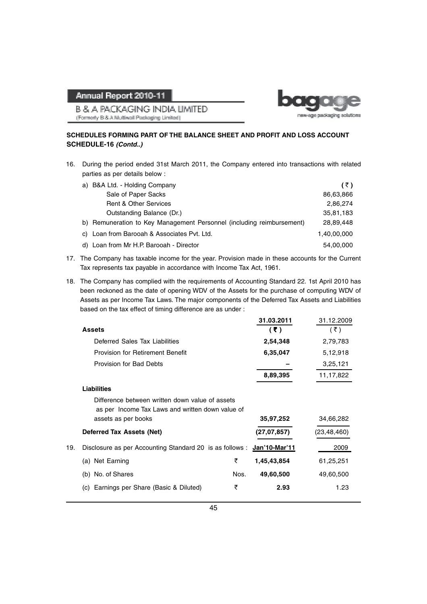

**B & A PACKAGING INDIA LIMITED** (Formerly B & A Multiwall Packaging Limited)

#### **SCHEDULES FORMING PART OF THE BALANCE SHEET AND PROFIT AND LOSS ACCOUNT SCHEDULE-16** *(Contd..)*

16. During the period ended 31st March 2011, the Company entered into transactions with related parties as per details below :

| a) B&A Ltd. - Holding Company                                         | (₹)         |
|-----------------------------------------------------------------------|-------------|
| Sale of Paper Sacks                                                   | 86,63,866   |
| <b>Rent &amp; Other Services</b>                                      | 2,86,274    |
| Outstanding Balance (Dr.)                                             | 35,81,183   |
| b) Remuneration to Key Management Personnel (including reimbursement) | 28,89,448   |
| c) Loan from Barooah & Associates Pvt. Ltd.                           | 1,40,00,000 |
| d) Loan from Mr H.P. Barooah - Director                               | 54,00,000   |

- 17. The Company has taxable income for the year. Provision made in these accounts for the Current Tax represents tax payable in accordance with Income Tax Act, 1961.
- 18. The Company has complied with the requirements of Accounting Standard 22. 1st April 2010 has been reckoned as the date of opening WDV of the Assets for the purchase of computing WDV of Assets as per Income Tax Laws. The major components of the Deferred Tax Assets and Liabilities based on the tax effect of timing difference are as under :

|     |                                                                                                     |      | 31.03.2011    | 31.12.2009  |
|-----|-----------------------------------------------------------------------------------------------------|------|---------------|-------------|
|     | <b>Assets</b>                                                                                       |      | (3)           | (3)         |
|     | Deferred Sales Tax Liabilities                                                                      |      | 2,54,348      | 2,79,783    |
|     | Provision for Retirement Benefit                                                                    |      | 6,35,047      | 5,12,918    |
|     | Provision for Bad Debts                                                                             |      |               | 3,25,121    |
|     |                                                                                                     |      | 8,89,395      | 11,17,822   |
|     | <b>Liabilities</b>                                                                                  |      |               |             |
|     | Difference between written down value of assets<br>as per Income Tax Laws and written down value of |      |               |             |
|     | assets as per books                                                                                 |      | 35,97,252     | 34,66,282   |
|     | <b>Deferred Tax Assets (Net)</b>                                                                    |      | (27,07,857)   | (23,48,460) |
| 19. | Disclosure as per Accounting Standard 20 is as follows :                                            |      | Jan'10-Mar'11 | 2009        |
|     | (a) Net Earning                                                                                     | ₹    | 1,45,43,854   | 61,25,251   |
|     | (b) No. of Shares                                                                                   | Nos. | 49,60,500     | 49,60,500   |
|     | (c) Earnings per Share (Basic & Diluted)                                                            | ₹    | 2.93          | 1.23        |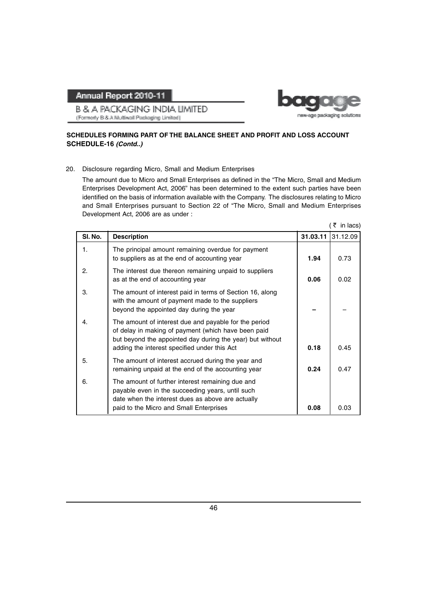

(Formerly B & A.Multiwall Packaging Limited)

**B & A PACKAGING INDIA LIMITED** 

new-age packaging solutions

# **SCHEDULES FORMING PART OF THE BALANCE SHEET AND PROFIT AND LOSS ACCOUNT SCHEDULE-16** *(Contd..)*

#### 20. Disclosure regarding Micro, Small and Medium Enterprises

The amount due to Micro and Small Enterprises as defined in the "The Micro, Small and Medium Enterprises Development Act, 2006" has been determined to the extent such parties have been identified on the basis of information available with the Company. The disclosures relating to Micro and Small Enterprises pursuant to Section 22 of "The Micro, Small and Medium Enterprises Development Act, 2006 are as under :

|              |                                                                                                                                                                                                                           |          | ( ₹ in lacs) |
|--------------|---------------------------------------------------------------------------------------------------------------------------------------------------------------------------------------------------------------------------|----------|--------------|
| SI. No.      | <b>Description</b>                                                                                                                                                                                                        | 31.03.11 | 31.12.09     |
| 1.           | The principal amount remaining overdue for payment<br>to suppliers as at the end of accounting year                                                                                                                       | 1.94     | 0.73         |
| 2.           | The interest due thereon remaining unpaid to suppliers<br>as at the end of accounting year                                                                                                                                | 0.06     | 0.02         |
| 3.           | The amount of interest paid in terms of Section 16, along<br>with the amount of payment made to the suppliers<br>beyond the appointed day during the year                                                                 |          |              |
| $\mathbf{4}$ | The amount of interest due and payable for the period<br>of delay in making of payment (which have been paid<br>but beyond the appointed day during the year) but without<br>adding the interest specified under this Act | 0.18     | 0.45         |
| 5.           | The amount of interest accrued during the year and<br>remaining unpaid at the end of the accounting year                                                                                                                  | 0.24     | 0.47         |
| 6.           | The amount of further interest remaining due and<br>payable even in the succeeding years, until such<br>date when the interest dues as above are actually                                                                 |          |              |
|              | paid to the Micro and Small Enterprises                                                                                                                                                                                   | 0.08     | 0.03         |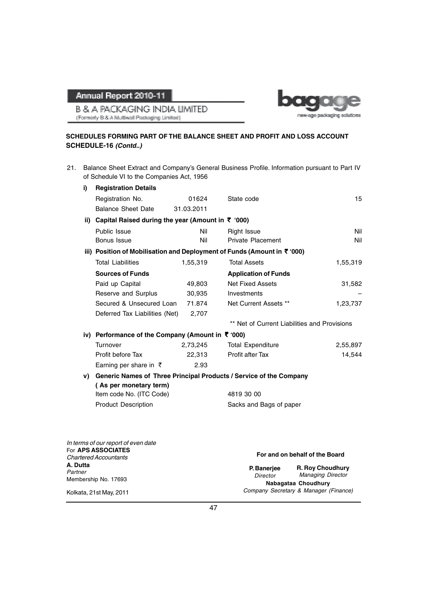

**B & A PACKAGING INDIA LIMITED** (Formerly B & A Muttiwall Packaging Limited)

#### **SCHEDULES FORMING PART OF THE BALANCE SHEET AND PROFIT AND LOSS ACCOUNT SCHEDULE-16** *(Contd..)*

| 21. |    | of Schedule VI to the Companies Act, 1956                     |            | Balance Sheet Extract and Company's General Business Profile. Information pursuant to Part IV |          |
|-----|----|---------------------------------------------------------------|------------|-----------------------------------------------------------------------------------------------|----------|
|     | i) | <b>Registration Details</b>                                   |            |                                                                                               |          |
|     |    | Registration No.                                              | 01624      | State code                                                                                    | 15       |
|     |    | <b>Balance Sheet Date</b>                                     | 31.03.2011 |                                                                                               |          |
|     |    | ii) Capital Raised during the year (Amount in $\bar{z}$ '000) |            |                                                                                               |          |
|     |    | Public Issue                                                  | Nil        | Right Issue                                                                                   | Nil      |
|     |    | Bonus Issue                                                   | Nil        | Private Placement                                                                             | Nil      |
|     |    |                                                               |            | iii) Position of Mobilisation and Deployment of Funds (Amount in ₹ '000)                      |          |
|     |    | <b>Total Liabilities</b>                                      | 1,55,319   | <b>Total Assets</b>                                                                           | 1,55,319 |
|     |    | <b>Sources of Funds</b>                                       |            | <b>Application of Funds</b>                                                                   |          |
|     |    | Paid up Capital                                               | 49,803     | <b>Net Fixed Assets</b>                                                                       | 31,582   |
|     |    | Reserve and Surplus                                           | 30,935     | Investments                                                                                   |          |
|     |    | Secured & Unsecured Loan                                      | 71.874     | Net Current Assets **                                                                         | 1,23,737 |
|     |    | Deferred Tax Liabilities (Net)                                | 2,707      |                                                                                               |          |
|     |    |                                                               |            | ** Net of Current Liabilities and Provisions                                                  |          |
|     |    | iv) Performance of the Company (Amount in ₹ '000)             |            |                                                                                               |          |
|     |    | Turnover                                                      | 2,73,245   | <b>Total Expenditure</b>                                                                      | 2,55,897 |
|     |    | Profit before Tax                                             | 22,313     | Profit after Tax                                                                              | 14,544   |
|     |    | Earning per share in $\bar{\tau}$                             | 2.93       |                                                                                               |          |
|     |    |                                                               |            | v) Generic Names of Three Principal Products / Service of the Company                         |          |
|     |    | (As per monetary term)                                        |            |                                                                                               |          |
|     |    | Item code No. (ITC Code)                                      |            | 4819 30 00                                                                                    |          |
|     |    | <b>Product Description</b>                                    |            | Sacks and Bags of paper                                                                       |          |
|     |    |                                                               |            |                                                                                               |          |
|     |    |                                                               |            |                                                                                               |          |
|     |    | In terms of our report of even date                           |            |                                                                                               |          |

| For APS ASSOCIATES<br><b>Chartered Accountants</b> | For and on behalf of the Board |                                                              |  |
|----------------------------------------------------|--------------------------------|--------------------------------------------------------------|--|
| A. Dutta<br>Partner                                | P. Banerjee<br>Director        | <b>R. Roy Choudhury</b><br><b>Managing Director</b>          |  |
| Membership No. 17693<br>Kolkata, 21st May, 2011    |                                | Nabagataa Choudhury<br>Company Secretary & Manager (Finance) |  |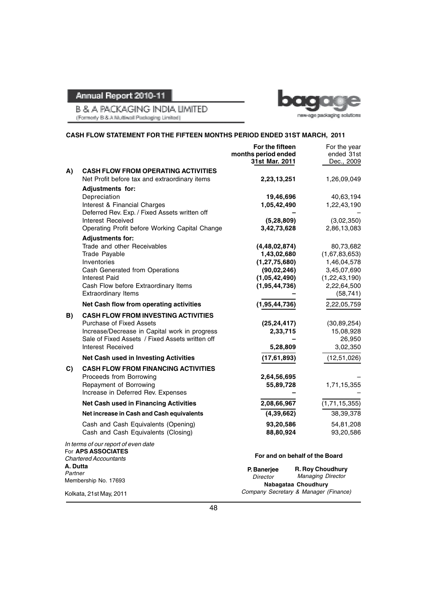bo new-age packaging solutions

(Formerly B & A.Multiwall Packaging Limited)

**B & A PACKAGING INDIA LIMITED** 

#### **CASH FLOW STATEMENT FOR THE FIFTEEN MONTHS PERIOD ENDED 31ST MARCH, 2011**

|          |                                                                                             | For the fifteen<br>months period ended | For the year<br>ended 31st |
|----------|---------------------------------------------------------------------------------------------|----------------------------------------|----------------------------|
|          |                                                                                             | 31st Mar. 2011                         | Dec., 2009                 |
| A)       | <b>CASH FLOW FROM OPERATING ACTIVITIES</b><br>Net Profit before tax and extraordinary items | 2,23,13,251                            | 1,26,09,049                |
|          | <b>Adjustments for:</b><br>Depreciation                                                     | 19,46,696                              | 40,63,194                  |
|          | Interest & Financial Charges                                                                | 1,05,42,490                            | 1,22,43,190                |
|          | Deferred Rev. Exp. / Fixed Assets written off                                               |                                        |                            |
|          | Interest Received                                                                           | (5, 28, 809)                           | (3,02,350)                 |
|          | Operating Profit before Working Capital Change                                              | 3,42,73,628                            | 2,86,13,083                |
|          | <b>Adjustments for:</b>                                                                     |                                        |                            |
|          | Trade and other Receivables                                                                 | (4, 48, 02, 874)                       | 80,73,682                  |
|          | Trade Payable                                                                               | 1,43,02,680                            | (1,67,83,653)              |
|          | Inventories                                                                                 | (1, 27, 75, 680)                       | 1,46,04,578                |
|          | Cash Generated from Operations                                                              | (90, 02, 246)                          | 3,45,07,690                |
|          | <b>Interest Paid</b>                                                                        | (1,05,42,490)                          | (1, 22, 43, 190)           |
|          | Cash Flow before Extraordinary Items                                                        | (1, 95, 44, 736)                       | 2,22,64,500                |
|          | <b>Extraordinary Items</b>                                                                  |                                        | (58, 741)                  |
|          | Net Cash flow from operating activities                                                     | (1, 95, 44, 736)                       | 2,22,05,759                |
| B)       | <b>CASH FLOW FROM INVESTING ACTIVITIES</b>                                                  |                                        |                            |
|          | <b>Purchase of Fixed Assets</b>                                                             | (25, 24, 417)                          | (30, 89, 254)              |
|          | Increase/Decrease in Capital work in progress                                               | 2,33,715                               | 15,08,928                  |
|          | Sale of Fixed Assets / Fixed Assets written off                                             |                                        | 26,950                     |
|          | Interest Received                                                                           | 5,28,809                               | 3,02,350                   |
|          | <b>Net Cash used in Investing Activities</b>                                                | (17, 61, 893)                          | (12,51,026)                |
| C)       | <b>CASH FLOW FROM FINANCING ACTIVITIES</b>                                                  |                                        |                            |
|          | Proceeds from Borrowing                                                                     | 2,64,56,695                            |                            |
|          | Repayment of Borrowing                                                                      | 55,89,728                              | 1,71,15,355                |
|          | Increase in Deferred Rev. Expenses                                                          |                                        |                            |
|          | <b>Net Cash used in Financing Activities</b>                                                | 2,08,66,967                            | (1,71,15,355)              |
|          | Net increase in Cash and Cash equivalents                                                   | (4, 39, 662)                           | 38,39,378                  |
|          | Cash and Cash Equivalents (Opening)                                                         | 93,20,586                              | 54,81,208                  |
|          | Cash and Cash Equivalents (Closing)                                                         | 88,80,924                              | 93,20,586                  |
|          | In terms of our report of even date                                                         |                                        |                            |
|          | For APS ASSOCIATES                                                                          | For and on behalf of the Board         |                            |
|          | <b>Chartered Accountants</b>                                                                |                                        |                            |
| A. Dutta |                                                                                             | P. Banerjee                            | R. Roy Choudhury           |
| Partner  | Membership No. 17693                                                                        | Director                               | <b>Managing Director</b>   |
|          |                                                                                             |                                        |                            |

Kolkata, 21st May, 2011

**Nabagataa Choudhury** Company Secretary & Manager (Finance)